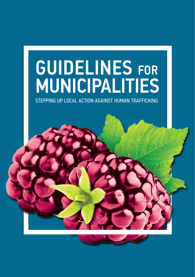# GUIDELINES FOR MUNICIPALITIES

STEPPING UP LOCAL ACTION AGAINST HUMAN TRAFFICKING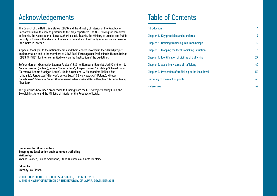## Acknowledgements Table of Contents

The Council of the Baltic Sea States (CBSS) and the Ministry of Interior of the Republic of Latvia would like to express gratitude to the project partners: the NGO "Living for Tomorrow" in Estonia, the Association of Local Authorities in Lithuania, the Ministry of Justice and Public Security in Norway, the Ministry of Interior in Poland, and the County Administrative Board of Stockholm in Sweden.

A special thank you to the national teams and their leaders involved in the STROM project implementation and to the members of CBSS Task Force against Trafficking in Human Beings (CBSS TF-THB\*) for their committed work on the finalisation of the guidelines:

Sofie Andersen\* (Denmark), Leemet Paulson\* & Sirle Blumberg (Estonia), Jari Kähkönen\* & Anniina Jokinen (Finland), Nicole Zündorf-Hinte\*, Jürgen Thomas\* & Philipp Schwertmann (Germany), Lāsma Stabiņa\* (Latvia), Reda Sirgedienė\* & Aleksandras Tiaškevičius (Lithuania), Jan Austad\* (Norway), Aneta Suda\* & Ewa Nowacka\* (Poland), Nikolay Kalashnikov\* & Natalia Zaibert (the Russian Federation) and Karin Bengtson\* & Endrit Mujaj (Sweden).

The guidelines have been produced with funding from the CBSS Project Facility Fund, the Swedish Institute and the Ministry of Interior of the Republic of Latvia.

## Introduction 4

| Chapter 1. Key principles and standards                 | 9  |
|---------------------------------------------------------|----|
| Chapter 2. Defining trafficking in human beings         | 12 |
| Chapter 3. Mapping the local trafficking situation      | 16 |
| Chapter 4. Identification of victims of trafficking     | 27 |
| Chapter 5. Assisting victims of trafficking             | 40 |
| Chapter 6. Prevention of trafficking at the local level | 52 |
| Summary of main action points                           | 60 |
| References                                              | 62 |

Guidelines for Municipalities Stepping up local action against human trafficking Written by: Anniina Jokinen, Liliana Sorrentino, Stana Buchowska, Vineta Polatside

#### Edited by: Anthony Jay Olsson

© THE COUNCIL OF THE BALTIC SEA STATES, DECEMBER 2015 © THE MINISTRY OF INTERIOR OF THE REPUBLIC OF LATVIA, DECEMBER 2015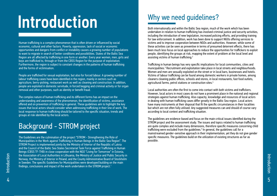# Introduction

Human trafficking is a complex phenomenon that is often driven or influenced by social economic, cultural and other factors. Poverty, oppression, lack of social or economic opportunities and dangers from conflict or instability causes a growing number of populations to want to migrate in search of better conditions and possibilities. States of the Baltic Sea Region are all affected by trafficking in one form or another. Every year women, men, girls and boys are trafficked to, through or from the CBSS Region for the purpose of exploitation. Furthermore, the region is subject to constant changes in the patterns of human trafficking and the forms of victimisation.

People are trafficked for sexual exploitation, but also for forced labour. A growing number of labour trafficking cases have been identified in the region, mainly in sectors such as agriculture, berry-picking, restaurant work as well as cleaning and construction. In addition, people are exploited in domestic servitude, in forced begging and criminal activity or for organ removal and other purposes, such as identity or benefit fraud.

The complex nature of human trafficking and its different forms has an impact on the understanding and awareness of the phenomenon, the identification of victims, assistance offered and on prevention of trafficking in general. These guidelines aim to highlight the key issues that local actors should consider when addressing trafficking in their line of work. The local response to human trafficking should be tailored to the specific situation, trends and groups at risk identified by the local actors.

## Background - STROM project

The Guidelines are the culmination of the project "STROM - Strengthening the Role of Municipalities in the Work against Trafficking in Human Beings in the Baltic Sea Region". The STROM Project is implemented jointly by the Ministry of Interior of the Republic of Latvia and the Council of the Baltic Sea States Secretariat Task Force against Trafficking in Human Beings (CBSS TF-THB) in close cooperation with the NGO "Living for Tomorrow" in Estonia, the Association of Local Authorities in Lithuania, the Ministry of Justice and Public Security in Norway, the Ministry of Interior in Poland, and the County Administrative Board of Stockholm in Sweden. The specific Guidelines for Municipalities were developed building on the main findings, conclusions and impact of the work undertaken in the STROM project.<sup>1</sup>

# Why we need guidelines?

Both internationally and within the Baltic Sea region, much of the work which has been undertaken in relation to human trafficking has involved criminal justice and security activities, including the introduction of new legislation, increased policing efforts, and providing training for law enforcement. In addition, work has been done to support NGOs offering services to victims and to improve cooperation between NGOs and authorities. However, while some of these activities can be seen as preventive in terms of presumed deterrent effects, there has been much less focus on local approaches to reduce the opportunities for traffickers to exploit people, identifying the groups at risk, mapping the extent of problem at the local level and assisting victims of human trafficking.<sup>2</sup>

Trafficking in human beings has very specific implications for local communities, cities and municipalities.3 Recruitment and exploitation take place in local streets and neighbourhoods. Women and men are sexually exploited on the street or in local bars, businesses and hotels. Victims of labour trafficking can be found among domestic workers in private homes, among cleaners cleaning public offices, schools and stores, in local restaurants, fast food outlets, agricultural farms, petrol stations or construction sites.<sup>4</sup>

Local authorities are often the first to come into contact with both victims and traffickers. However, local actors in most cases do not have a prominent place in the national and regional strategies against human trafficking. Also capacity, knowledge and resources of local actors in dealing with human trafficking cases differ greatly in the Baltic Sea region. Local actors have many instruments at their disposal that fit the specific circumstances in their localities but which are not often fully utilised. Any suggested measures can and should of course vary according to local context and trafficking situation.

The guidelines are evidence-based and focus on the main critical issues identified during the STROM project and the assessment study. The issues and topics related to human trafficking are quite complex and include many dimensions, therefore specific measures concerning child trafficking were excluded from the guidelines.<sup>5</sup> In general, the guidelines call for a mainstreamed gender-sensitive approach in their implementation, yet they do not give gender specific measures. The guidelines build on the utilization of existing structures as far as possible.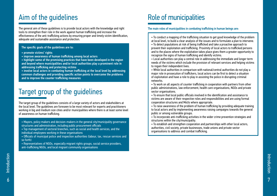# Aim of the guidelines

The general aim of these guidelines is to provide local actors with the knowledge and right tools to strengthen their role in the work against human trafficking and increase the effectiveness of the anti-trafficking actions by ensuring proper and timely victim identification, adequate and sustainable assistance and protection.

## The specific goals of the guidelines are to:

- promote victims' rights
- improve awareness of human trafficking among local actors
- highlight some of the promising practices that have been developed in the region and beyond where municipalities and/or local authorities play a prominent role in addressing trafficking and protecting victims
- involve local actors in combating human trafficking at the local level by addressing common challenges and providing specific action points to overcome the problems and to improve the counter trafficking measures

## Target group of the guidelines

The target group of the guidelines consists of a large variety of actors and stakeholders at the local level. The guidelines are foreseen to be most relevant for experts and practitioners working in big and medium size cities and/or municipalities where there is at least some level of awareness on human trafficking.

- Mayors, policy makers and decision-makers in the general city/municipality governance structures and administration, including public procurement officials
- Top management of sectoral branches, such as social and health services, and the individual employees working in these organisations
- Officials of municipal police and inspection authorities (labour, tax, rescue services and so forth)
- Representatives of NGOs, especially migrant rights groups, social service providers, anti-trafficking NGOs, and local migrant community organisations

# Role of municipalities

#### The main roles of municipalities in combating trafficking in human beings are:

• To conduct a mapping of the trafficking situation to get good knowledge of the problem at local level, to build a clear analysis of the issues and to formulate a plan to intervene.

• To detect populations at risk of being trafficked and take a proactive approach to prevent their exploitation and trafficking. Proximity of local actors to trafficked persons and to the places where the exploitation takes place gives them a greater opportunity to recognize the signs of human trafficking and identify victims.

• Local authorities can play a central role in addressing the immediate and longer term needs of the victims which include the provision of relevant services and helping victims to regain their independent lives.

• While local authorities in comparison with national/central authorities do not play a major role in prosecution of traffickers, local actors can be first to detect a situation of exploitation and have a role to play in assisting the police in disrupting criminal networks.

• To work on all aspects of counter trafficking in cooperation with partners from other public administrations, law enforcement, health care organisations, NGOs and private sector organisations.

• To ensure that local public officials involved in the identification and assistance to victims are aware of their respective roles and responsibilities and are using formal cooperation structures and MoUs where appropriate.

• To raise awareness of the problem of human trafficking by providing adequate training to local actors and by implementing awareness raising campaigns towards the general public or among vulnerable groups.

• To incorporate anti-trafficking activities in the wider crime prevention strategies and structures within the city/municipality.

• To establish and strengthen cooperation and partnerships with other local actors, authorities, civil society, private businesses, trade unions and private sector organisations to address and combat trafficking.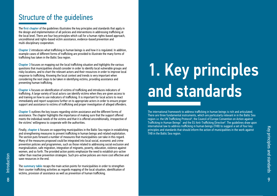## Structure of the guidelines

The first chapter of the guidelines illustrates the key principles and standards that apply in the design and implementation of all policies and interventions in addressing trafficking at the local level. There are four key principles which call for a human rights-based approach, unconditional and rights-based victim assistance, evidence-based prevention and multi-disciplinary cooperation.

Chapter 2 introduces what trafficking in human beings is and how it is regulated. In addition, example cases of different forms of trafficking are provided to illustrate the many forms of trafficking has taken in the Baltic Sea region.

Chapter 3 focuses on mapping out the local trafficking situation and highlights the various questions that municipalities should consider in order to identify local vulnerable groups and risky locations, and to chart the relevant actors and their resources in order to improve local response to trafficking. Knowing the local context and trends is very important when considering the next steps to be taken in identifying victims, providing assistance and preventing human trafficking.

Chapter 4 focuses on identification of victims of trafficking and introduces indicators of trafficking. A large variety of local actors can identify victims when they are given access to and training on how to use indicators of trafficking. It is important for local actors to react immediately and report suspicions further on to appropriate actors in order to ensure proper support and assistance to victims of trafficking and proper investigation of alleged offenders.

Chapter 5 outlines the key issues regarding victim assistance and the different forms of assistance. The chapter highlights the importance of making sure that the support offered meets the individual needs of the victims and that it is offered unconditionally, irrespective of the victims' willingness to cooperate with the authorities.

Finally, chapter 6 focuses on supporting municipalities in the Baltic Sea region in establishing and strengthening measures to prevent trafficking in human beings and related exploitation. The section puts forward a number of measures that municipalities can take in this regard. Many of the measures proposed could be integrated into local social, economic and crime prevention policies and programmes, such as those related to addressing social exclusion and marginalization, safe migration, integration of migrants, poverty, education, violence against women, and so forth. The provided action points emphasize the need to establish pro-active rather than reactive prevention strategies. Such pro-active policies are more cost effective and save resources in the end.

The summary table recaps the main action points for municipalities in order to strengthen their counter trafficking activities as regards mapping of the local situation, identification of victims, provision of assistance as well as prevention of human trafficking.

# 1. Key principles and standards

The international framework to address trafficking in human beings is rich and articulated. There are three fundamental instruments, which are particularly relevant in in the Baltic Sea region i.e. the UN Trafficking Protocol<sup>6</sup>, the Council of Europe Convention on Action against Trafficking in Human Beings<sup>7</sup> and the EU Anti-Trafficking Directive<sup>8</sup>. The guidelines draw upon international law to address trafficking in human beings (THB) to suggest a set of four key principles and standards that should inform the action of municipalities in the work against THB in the Baltic Sea region.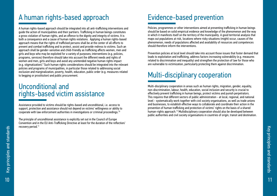# A human rights-based approach

A human rights-based approach should be integrated into all anti-trafficking interventions and guide the action of municipalities and their partners. Trafficking in human beings constitutes a gross violation of human rights, and an offence to the dignity and integrity of victims. It is both a consequence and a cause of human rights violations. Applying a human rights-based approach means that the rights of trafficked persons shall be at the center of all efforts to prevent and combat trafficking and to protect, assist and provide redress to victims. Such an approach shall be gender-sensitive and child-friendly as trafficking affects women, men and girls and boys who may be exploited for a variety of purposes; interventions (e.g. policies, programs, services) therefore should take into account the different needs and rights of women and men, girls and boys and avoid any unintended negative human rights impact (e.g. stigmatization).<sup>9</sup> Such human rights considerations should be integrated into the relevant policies and programs of municipalities, in particular those related to addressing social exclusion and marginalization, poverty, health, education, public order (e.g. measures related to begging or prostitution) and public procurement.

## Unconditional and rights-based victim assistance

Assistance provided to victims should be rights-based and unconditional, i.e. access to support, protection and assistance should not depend on victims' willingness or ability to cooperate with law enforcement authorities in investigations or criminal proceedings.<sup>10</sup>

The principle of unconditional assistance is explicitly set out in the Council of Europe Convention and in the EU Anti-Trafficking Directive at least for the duration of the reflection/ recovery period.<sup>11</sup>

# Evidence-based prevention

Policies, programmes or other interventions aimed at preventing trafficking in human beings should be based on solid empirical evidence and knowledge of the phenomenon and the way in which it manifests itself on the territory of the municipality. A good territorial analysis that maps out populations at risk, locations where risky situations (might) occur, causes of the phenomenon, needs of populations affected and availability of resources and competences should therefore inform the interventions.

Prevention policies at local level should take into account those issues that foster demand that leads to exploitation and trafficking, address factors increasing vulnerability (e.g. measures related to discrimination and inequality) and strengthen the protection of law for those who are vulnerable to victimization, particularly protecting them against discrimination.

# Multi-disciplinary cooperation

Multi-disciplinary cooperation in areas such as human rights, migration, gender, equality, non-discrimination, labour, health, education, social inclusion and security is crucial to effectively prevent trafficking in human beings, protect victims and punish perpetrators. This requires that different sectors of public administration - at local, regional, and national level - systematically work together with civil society organisations, as well as trade unions and businesses, to establish effective ways to collaborate and coordinate their action in the prevention of human trafficking and protection of victims' rights on the basis of a shared human-rights approach.12 Multidisciplinary cooperation should also be developed between public authorities and civil society organisations in countries of origin, transit and destination.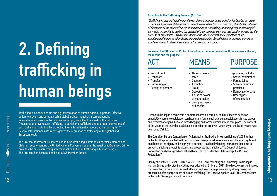# 2. Defining trafficking in human beings

Trafficking is a serious crime and a gross violation of human rights of a person. Effective action to prevent and combat such a global problem requires a comprehensive international approach in the countries of origin, transit and destination that includes "measures to prevent such trafficking, to punish the traffickers and to protect the victims of such trafficking, including by protecting their internationally recognized human rights".<sup>13</sup> Several international instruments govern the regulation of trafficking at the global and European level.

The Protocol to Prevent, Suppress and Punish Trafficking in Persons, Especially Women and Children, supplementing the United Nations Convention against Transnational Organized Crime provides the first overarching, international definition of trafficking in human beings. The Protocol has been ratified by all CBSS Member States.

## According to the Trafficking Protocol (Art. 3a):

"Trafficking in persons" shall mean the recruitment, transportation, transfer, harbouring or receipt of persons, by means of the threat or use of force or other forms of coercion, of abduction, of fraud, of deception, of the abuse of power or of a position of vulnerability or of the giving or receiving of payments or benefits to achieve the consent of a person having control over another person, for the purpose of exploitation. Exploitation shall include, at a minimum, the exploitation of the prostitution of others or other forms of sexual exploitation, forced labour or services, slavery or practices similar to slavery, servitude or the removal of organs.

Following the UN Palermo Protocol trafficking in persons consists of three elements: the act, the means and the purpose.

• Recruitment • Transport • Transfer • Harbouring or Receipt of persons

# ACT MEANS

- **PURPOSE**
- Threat or use of force
- Coercion
- Abduction
- Fraud • Deception
- Abuse of power
- or vulnerability
- Giving payments or benefits
- Exploitation including: • Sexual exploitation
	- Forced labour
	- Slavery or similar practices
	- Removal of organs
	- Other types of exploitation

Human trafficking is a crime with a comprehensive but complex and multifaceted definition, especially where the exploitation can have many forms such as sexual exploitation, forced labour and removal of organs, but also forced begging and forced criminality can take place. The consent of the victim to the intended exploitation is considered irrelevant when any of the listed means have been used (Art 3b).

The Council of Europe Convention on Action against Trafficking in Human Beings of 2005 further highlights the principle that trafficking in human beings constitutes a violation of human rights and an offence to the dignity and integrity of a person. It is a legally binding instrument that aims to prevent trafficking, protect its victims and prosecute the traffickers. The Council of Europe Convention has been signed and ratified by all the CBSS Member States except the Russian Federation<sup>14</sup>

Finally, the at the EU-level EC Directive 2011/36/EU on Preventing and Combating Trafficking in Human Beings and protecting victims was adopted on 21 March 2011. The directive aims to improve the protection for victims of human trafficking and to enhance prevention by strengthening the prosecution of the perpetrators of human trafficking. The Directive applies to all EU Member States in the Baltic Sea region except Denmark.

Defining trafficking in humabeings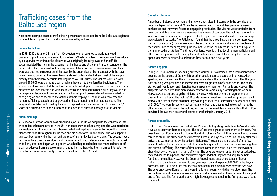## Trafficking cases from the Baltic Sea region

Next some example cases of trafficking in persons are presented from the Baltic Sea region to outline different types of exploitation encountered by victims.

#### Labour trafficking

In 2008-2010 a total of 26 men from Kyrgyzstan where recruited to work at a wood processing plant located in a small town in North-Western Finland. The recruitment was done by a supervisor working at the plant who was originally from Kyrgyzstan himself. He accommodated the men in the basement of his house and at the plant in poor conditions. The men worked long hours without holidays or mandatory overtime compensations and they were advised not to move around the town by the supervisor or be in contact with the local Finns. He also collected the men's bank cards and codes and withdrew most of the wages directly from their bank accounts totalling up to 240 000 euros. The victims were left with around 300-800 euros a month, part of which they sent to their families back home. The supervisor also confiscated the victims' passports and stopped them from leaving the country. Moreover, he used threats and violence to control the men and to make sure they would not tell anyone outside about their situation. The Finnish plant owners denied knowing what had been going on and condemned the actions of their employee. The man was convicted for human trafficking, assault and aggravated embezzlement in the first instance court. The judgment was later confirmed by the court of appeal which sentenced him to prison for 3,5 years and ordered him to pay hundreds of thousands of euros in damages to the victims.

### Sham marriage

A 36 year old Latvian woman was promised a job in the UK working with the children of Latvian families. When she arrived in the UK, her passport was taken away and she was married to a Pakistani man. The woman was then exploited and kept as a prisoner for more than a year in Manchester and Birmingham by the man and his associates. In one house, she was kept in a tiny attic bedroom while the man and the rest of his family lived downstairs. The second house had metal bars over the windows and she was not allowed outside alone. The victim's ordeal ended only after she began writing down what had happened to her and managed to tear off a partial address from a piece of mail and rang her mother, who then informed Interpol. The perpetrators were found guilty of human trafficking by the UK Court.

## Sexual exploitation

A number of Belarusian women and girls were recruited in Belarus with the promise of a good, well-paid job in Poland. When the women arrived in Poland their passports were confiscated and they were forced to engage in prostitution. The victims were forbidden from going out and threats of violence were used as means of coercion. The victims were told to work to repay the money that the perpetrator had paid for them and a part of their earnings was collected regularly. The Polish court found that the three Belarusian perpetrators (two men and one woman) took advantage of the economic difficulties and financial problems of the victims, lied to them regarding the real nature of the job offered in Poland and exploited them in forced prostitution. The three defendants were found guilty of human trafficking and other procuring-related offences by the first instance court and later also by the court of appeal and were sentenced to prison for three to four and a half years.

## Forced begging

In July 2012, a Romanian-speaking outreach worker in Oslo noticed that a Romanian woman begging on the streets of Oslo with four other people seemed scared and nervous. After speaking with the woman, the social worker understood that a trafficker controlled the group. Safe housing was provided and the victims were all granted a reflection period. The police started an investigation and identified two suspects – men from Romania and Kosovo. The suspects had recruited four men and one woman in Romania by promising them work in Norway. All five agreed to go by minibus to Norway, without any further agreement on payment for the travel. The victims' ID cards were removed from them during the journey. In Norway, the two suspects said that they would get back the ID cards upon payment of a total of €1000. They were forced to steal petrol and to beg, and after refusing to steal more, the other suspect struck one of the victims, and they all received death threats. Oslo District Court convicted the two men on several counts of trafficking in January 2015.

## Forced criminality

In 2009, two Romanian men recruited two 16-year-old boys to go with them to Sweden, where it would be easy for them to get jobs. The boys' parents agreed to send them to Sweden. The boys flew from Romania via London to Stockholm Skavsta Airport. Upon arrival the boys were forced to steal. The crime was first discovered when the boys stole a car on the day after their arrival and were arrested by the police in Nyköping. The suspicions increased after a few incidents where the boys were arrested for shoplifting, and the police started an investigation into human trafficking. The court of first instance came to the conclusion that the two men should not be convicted of human trafficking. The boys were never under threat or locked up, they had access to a phone, and they never expressed that they needed help from their families or the police. However, the Court of Appeal found enough evidence of human trafficking and sentenced the men to one year in prison and to pay 60000 SEK to the boys in damages. The Court held that that the two men had a decisive influence over the two boys. The boys only spoke Romanian and were in a foreign country with the two older men. The two victims did not have any money and were totally dependent on the older men for support and to find jobs. The fact that the boys might have agreed to steal in the first place was found irrelevant.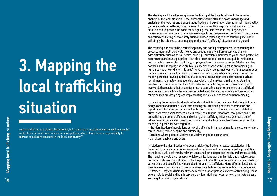# 3. Mapping the local trafficking **situation**

Human trafficking is a global phenomenon, but it also has a local dimension as well as specific implications for local communities in municipalities, which clearly have a responsibility to address exploitative practices in the local community.<sup>15</sup>

The starting point for addressing human trafficking at the local level should be based on analysis of the local situation. Local authorities should build their own knowledge and analysis of the features and trends that trafficking and exploitation display in their municipality (i.e. scale, nature, patterns, risks, causes of the crime). This mapping and diagnostic of the situation should provide the basis for designing local interventions including specific measures and/or integrating them into existing policies, programs and services.16 This process can called conducting a local safety audit on human trafficking.17In the following sections it will simply be referred to as a mapping of the local (trafficking) situation on the ground.

The mapping is meant to be a multidisciplinary and participatory process. In conducting this process, municipalities should involve and consult not only different services of their administration, such as social, health, housing, education, employment, youth, child protection departments and municipal police – but also reach out to other relevant public institutions, such as police, prosecutors, judiciary, employment and migration services. Additionally, key partners in this mapping phase are NGOs, especially those with expertise on trafficking in human beings or working on migrants' rights and violence against women, faith based groups, trade unions and migrant, ethnic and other minorities' organisations. Moreover, during the mapping process, municipalities could also consult relevant private sector actors such as recruitment and employment agencies, associations of employers in the hotel, cleaning, construction or restaurant sectors.18 The rationale for selecting various stakeholders is to involve all those actors that encounter or can potentially encounter exploited and trafficked persons and that could contribute their knowledge of the local community and areas when municipalities are designing and implementing of policies to address human trafficking.

In mapping the situation, local authorities should look for information on trafficking in human beings available at national level from existing anti-trafficking national coordination and reporting mechanisms and combine it with information from municipal records related to crime, data from social services on vulnerable populations, data from local police and NGOs on trafficked persons, traffickers and existing anti-trafficking initiatives. Overleaf a set of tables provide guidance on questions to consider and actors to involve when conducting the mapping, in particular with regard to:

 - the identification of populations at risk of trafficking in human beings for sexual exploitation, forced labour, forced begging and criminality;

- locations where potential victims and victims might be encountered;
- traffickers, enablers and users.

In relation to the identification of groups at risk of trafficking for sexual exploitation, it is important to consider what is known about prostitution and persons engaged in prostitution at the local level, local trends, relevant locations both outdoor and indoor, and groups at risk. The mapping should also research which organisations work in this field and provide support and services to women and men involved in prostitution; these organisations are likely to have very precise and specific knowledge also in relation to trafficking. Many different local actors have relevant information but may not always be able to recognise a trafficking situation, yet - if trained - they could help identify and refer to support potential victims of trafficking. These actors include social and health service providers, victim services, as well as private citizens and neighbourhood organisations.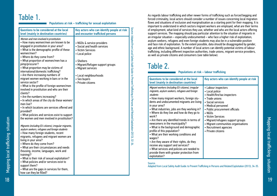# Table 1.

## Populations at risk – trafficking for sexual exploitation

| Questions to be considered at the local<br>level (mainly in destination countries)                                                                                                                                                                                                                                                                                                                                                                                                                                                                                                                                                                                                                                                                                                                                                | Key actors who can identify people at risk<br>and encounter trafficked persons                                                                                                                                                                    |
|-----------------------------------------------------------------------------------------------------------------------------------------------------------------------------------------------------------------------------------------------------------------------------------------------------------------------------------------------------------------------------------------------------------------------------------------------------------------------------------------------------------------------------------------------------------------------------------------------------------------------------------------------------------------------------------------------------------------------------------------------------------------------------------------------------------------------------------|---------------------------------------------------------------------------------------------------------------------------------------------------------------------------------------------------------------------------------------------------|
| Women and men involved in prostitution:<br>• How many women/men are known to be<br>engaged in prostitution in your area?<br>• What is the demographic profile of these<br>women/men?<br>• Where do they come from?<br>• What proportion of women/men has a<br>pimp/procurer?<br>• What proportion may be victims of<br>international/domestic trafficking?<br>• Are there increasing numbers of<br>migrant women working in bars or in the<br>service sector?<br>• What is the profile of foreign women/men<br>involved in prostitution and who are their<br>clients?<br>• Are the numbers increasing?<br>• In which areas of the city do these women/<br>men live?<br>• In which locations are services offered and<br>provided?<br>• What policies and services exist to support<br>the women and men involved in prostitution? | • NGOs & service providers<br>• Social and health services<br>• Victim Services<br>• Local police<br>$\bullet$ Shelters<br>• Migrant/Refugee support groups<br>• Migrant services<br>• Local neighbourhoods<br>• Sex buyers<br>• Private citizens |
| Migrants (including EU-citizens), irregular migrants,<br>asylum seekers, refugees and foreign students<br>• How many foreign students, recent<br>migrants, refugees and migrant women are<br>living in your area?<br>• Where do they come from?<br>• What are their circumstances and needs<br>(housing, income, languages, work and<br>training)?<br>• What is their risk of sexual exploitation?<br>• What policies and/or services exist to<br>support them?<br>• What are the gaps in services for them,<br>how can they be filled?                                                                                                                                                                                                                                                                                           |                                                                                                                                                                                                                                                   |

As regards labour trafficking and other newer forms of trafficking such as forced begging and forced criminality, local actors should consider a number of issues concerning local migration flows and situations of exclusion and marginalisation as a starting point for their mapping. It is important to understand in which sectors migrant workers are employed, what are their terms of employment, what kind of services they use, whether and who are the local actors offering support services. The mapping should pay particular attention to the situation of migrants in an irregular situation – especially undocumented – who face a higher risk of exploitation; asylum seekers, refugees and even foreign students may also be in a vulnerable position and face risk of exploitation. To the extent possible, data should be disaggregated by gender, age and ethnic background. A number of local actors can identify potential victims of labour trafficking, including different inspection authorities, trade unions, migrant service providers, as well as private citizens and consumers (see table below).

## Table 2.

Source: Adapted from Local Safety Audit Guide: to Prevent Trafficking in Persons and Related Exploitation (2013), 32-34.

Source: Adapted from Local Safety Audit Guide: to Prevent Trafficking in Persons and Related Exploitation (2013), 32-34

## Populations at risk – labour trafficking

| Questions to be considered at the local<br>level (mainly in destination countries)                                                                                                                                                                                                                                                                                                                                                                                                                                                                                                                                                                                                                                                                  | Key actors who can identify people at risk                                                                                                                                                                                                                                                                                       |
|-----------------------------------------------------------------------------------------------------------------------------------------------------------------------------------------------------------------------------------------------------------------------------------------------------------------------------------------------------------------------------------------------------------------------------------------------------------------------------------------------------------------------------------------------------------------------------------------------------------------------------------------------------------------------------------------------------------------------------------------------------|----------------------------------------------------------------------------------------------------------------------------------------------------------------------------------------------------------------------------------------------------------------------------------------------------------------------------------|
| Migrant workers (including EU-citizens), irregular<br>migrants, asylum seekers, refugees and foreign<br>students<br>• How many migrant workers, foreign stu-<br>dents and undocumented migrants are living<br>in your area?<br>• What industries, jobs are they working in?<br>• Where do they live and how do they go to<br>work?<br>• Are there any identified trends in terms of<br>newcomers in the municipality?<br>• What is the background and demographic<br>profile of this population?<br>• What are their working conditions and<br>wages?<br>• Are they aware of their rights, do they<br>receive any support and services?<br>• What services and policies are needed to<br>provide them with greater protection from<br>exploitation? | • Labour inspectors<br>• Local police<br>• Health/fire/tax inspectors<br>• Trade unions<br>• Social services<br>• Medical personnel<br>• Public procurement officials<br>• NGOs<br>• Victim Services<br>• Migrant/refugees support groups<br>• Migrant communities organisations<br>• Recruitment agencies<br>• Private citizens |

### Source:

Adapted from Local Safety Audit Guide: to Prevent Trafficking in Persons and Related Exploitation (2013), 34-35.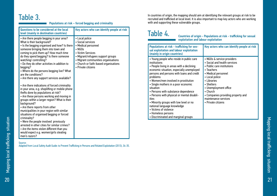## Table 3.

## Populations at risk – forced begging and criminality

| Questions to be considered at the local<br>level (mainly in destination countries)                                                                                                                                                                                                                                                                                                                                                                                                                                                                                                                                                                                                                                                                                                                                                                                                                                                                                                                                                                           | Key actors who can identify people at risk                                                                                                                                                                                                 |
|--------------------------------------------------------------------------------------------------------------------------------------------------------------------------------------------------------------------------------------------------------------------------------------------------------------------------------------------------------------------------------------------------------------------------------------------------------------------------------------------------------------------------------------------------------------------------------------------------------------------------------------------------------------------------------------------------------------------------------------------------------------------------------------------------------------------------------------------------------------------------------------------------------------------------------------------------------------------------------------------------------------------------------------------------------------|--------------------------------------------------------------------------------------------------------------------------------------------------------------------------------------------------------------------------------------------|
| • Are there people begging in your area?<br>What is their background?<br>• Is the begging organised and how? Is there<br>someone bringing them into town and<br>coming to pick them up? How much time<br>do they spend begging? Is there someone<br>watching/controlling?<br>. Do they do other activities in addition to<br>begging?<br>• Where do the persons begging live? What<br>are the conditions?<br>• Are there any support services available?<br>• Are there indications of forced criminality<br>in your area, e.g. shoplifting or mobile phone<br>thefts done by populations at risk?<br>• Are these persons working and moving in<br>groups within a larger region? What is their<br>background?<br>• Are there reports from other<br>municipalities in your region with similar<br>situations of organised begging or forced<br>criminality?<br>• Were the people involved previously<br>arrested in other cities for similar crimes?<br>• Are the items stolen different than you<br>would expect e.g. women/girls stealing<br>men's razors? | • Local police<br>• Social services<br>• Medical personnel<br>$\cdot$ NGOs<br>• Victim Services<br>• Migrant/refugees support groups<br>• Migrant communities organisations<br>• Church or faith-based organisations<br>• Private citizens |

#### Source:

Adapted from Local Safety Audit Guide: to Prevent Trafficking in Persons and Related Exploitation (2013), 34-35.

In countries of origin, the mapping should aim at identifying the relevant groups at risk to be recruited and trafficked at local level. It is also important to map key actors who are working with and supporting these vulnerable groups.

## Table 4.

Countries of origin - Populations at risk - trafficking for sexual exploitation and labour exploitation

| <b>Populations at risk - trafficking for sex-</b><br>ual exploitation and labour exploitation<br>(mainly in origin countries)                                                                                                                                                                                                                                                                                                                                                                                                                                        | Key actors who can identify people at risk                                                                                                                                                                                                                                                                            |
|----------------------------------------------------------------------------------------------------------------------------------------------------------------------------------------------------------------------------------------------------------------------------------------------------------------------------------------------------------------------------------------------------------------------------------------------------------------------------------------------------------------------------------------------------------------------|-----------------------------------------------------------------------------------------------------------------------------------------------------------------------------------------------------------------------------------------------------------------------------------------------------------------------|
| • Young people who reside in public care<br>institutions<br>• People living in areas with a declining<br>economic situation, especially unemployed<br>persons and persons with loans and credit<br>problems<br>• Women/men involved in prostitution<br>• Single mothers in a poor economic<br>situation<br>• Persons with substance dependence<br>• Persons with physical or mental disabil-<br>ities<br>• Minority groups with low level or no<br>national language knowledge<br>• Victims of violence<br>• Homeless persons<br>• Discriminated and marginal groups | • NGOs & service providers<br>• Social and health services<br>• Public care institutions<br>$\bullet$ Teachers<br>• Medical personnel<br>• Local police<br>• Libraries<br>• Shelters<br>• Unemployment office<br>$\bullet$ Church<br>• Companies providing property and<br>maintenance services<br>• Private citizens |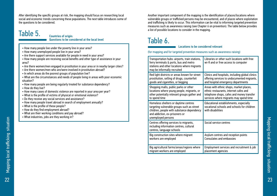After identifying the specific groups at risk, the mapping should focus on researching local social and economic trends concerning these populations. The next table introduces some of the questions to be considered.

## Table 5.

#### Countries of origin: Questions to be considered at the local level

- How many people live under the poverty line in your area?
- How many unemployed people live in your area?
- Are there support services available for people in need in your area?
- How many people are receiving social benefits and other type of assistance in your area?
- Are there women/men engaged in prostitution in your area or in nearby larger cities?
- Are there women/men who are/were involved in prostitution abroad?
- In which areas do the poorest groups of population live?
- What are the circumstances and needs of people living in areas with poor economic situation?
- How many people are being regularly treated for substance dependency?
- How do they live?
- How many cases of domestic violence are reported in your area per year?
- What is the profile of victims of physical or emotional violence?
- Do they receive any social services and assistance?
- How many people travel abroad in search of employment annually?
- What is the profile of these people?
- How do they find employment abroad?
- What are their working conditions and pay abroad?
- What industries, jobs are they working in?

Another important component of the mapping is the identification of places/locations where vulnerable groups or trafficked persons may be encountered, and of places where exploitation and trafficking is likely to occur. This information can be vital to informing targeted prevention measures such as awareness raising (see Chapter 6 on prevention). The table below provides a list of possible locations to consider in the mapping.

## Table 6.

### Locations to be considered relevant

(for mapping and for targeted prevention measures such as awareness raising)

| Transportation hubs: airports, train stations,<br>ferry terminals & ports, bus and metro<br>stations and other locations where migrants<br>may be informally recruited                   | Libraries or other such locations with free<br>wi-fi and or free access to computer                        |
|------------------------------------------------------------------------------------------------------------------------------------------------------------------------------------------|------------------------------------------------------------------------------------------------------------|
| Red light districts or areas known for street                                                                                                                                            | Clinics and hospitals, including global clinics                                                            |
| prostitution, selling of drugs, counterfeit                                                                                                                                              | offering services to undocumented migrants,                                                                |
| goods and cigarettes, or begging                                                                                                                                                         | and hospital emergency departments                                                                         |
| Shopping malls, public parks or other                                                                                                                                                    | Areas with ethnic shops, market places,                                                                    |
| locations where young people, migrants, or                                                                                                                                               | ethnic restaurants, internet cafes and                                                                     |
| other potentially relevant groups gather and                                                                                                                                             | telephone shops, cafes and money transfer                                                                  |
| to spend time                                                                                                                                                                            | services where migrants may spend time                                                                     |
| Homeless shelters or daytime centres<br>targeting vulnerable groups such as street<br>children, people with substance dependency<br>and addiction, ex-prisoners or<br>unemployed persons | Educational establishments, especially<br>vocational schools and schools for children<br>with disabilities |
| Centres offering services to migrants,<br>including information centres, cultural<br>centres, language schools                                                                           | Social service centres                                                                                     |
| Big construction sites where migrant                                                                                                                                                     | Asylum centres and reception points                                                                        |
| workers are employed                                                                                                                                                                     | <b>Consulates and embassies</b>                                                                            |
| Big agricultural farms/areas/regions where                                                                                                                                               | Employment services and recruitment & job                                                                  |
| migrant workers are employed                                                                                                                                                             | placement agencies                                                                                         |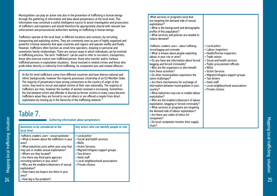Municipalities can play an active role also in the prevention of trafficking in human beings through the gathering of information and data about perpetrators at the local level. This information may constitute a useful intelligence source to assist investigation and prosecution of traffickers and exploiters and should therefore be appropriately shared with relevant law enforcement and prosecutorial authorities working on trafficking in human beings.

Traffickers operate at the local level, in different locations and contexts, by recruiting, transporting and exploiting victims. They are commonly seen as part of highly organised and powerful criminal networks that span countries and regions and operate swiftly and fluidly. However, traffickers often function as small time operators, drawing on personal and sometimes family relationships. There are various ways in which individuals can be involved in trafficking process. The term "traffickers" can be used to refer to recruiters, transporters, those who exercise control over trafficked person, those who transfer and/or harbour trafficked persons in exploitative situations, those involved in related crimes and those who profit either directly or indirectly from trafficking, its component acts and related offences.

At the EU-level traffickers come from different countries and have diverse national and ethnic backgrounds; however the majority possesses citizenship of an EU Member State. The majority of perpetrators have strong connections to the country of origin of the victim, they tend to recruit and exploit victims of their own nationality. The majority of traffickers are men, however the number of women involved is increasing. Sometimes the line between victim and offender is blurred as former victims in many cases become traffickers when they are forced to recruit others or are offered a respite from direct exploitation by moving up in the hierarchy of the trafficking network.<sup>19</sup>

# Table 7.

Gathering information about perpetrators

| Questions to be considered at the<br>local level                                                                                                                                                                                                                                                                                                                                                                                                                 | Key actors who can identify people at risk                                                                                                                                                                              |
|------------------------------------------------------------------------------------------------------------------------------------------------------------------------------------------------------------------------------------------------------------------------------------------------------------------------------------------------------------------------------------------------------------------------------------------------------------------|-------------------------------------------------------------------------------------------------------------------------------------------------------------------------------------------------------------------------|
| Traffickers, enablers, users - sexual exploitation<br>• What is known about the traffickers in your<br>area?<br>• What industries exist within your area that<br>may use or enable sexual exploitation?<br>• Where are they located?<br>• Are there any third party agencies<br>recruiting workers in your area?<br>• Who are the enablers/observers of sexual<br>exploitation?<br>• How many sex buyers are there in your<br>area?<br>• How big is the problem? | • Local police<br>• Social and health services<br>$\cdot$ NGOs<br>• Victim Services<br>• Migrant/refugees support groups<br>• Taxi drivers<br>• Hotel staff<br>• Local neighbourhood associations<br>• Private citizens |

 What services or programs exist that are targeting the demand side of sexual exploitation?

- What is the background and demographic profile of this population?
- What services and policies are needed to reduce demand?

Traffickers, enablers, users – labour trafficking, forced begging and criminality

- What is known about people exploiting labour in your city or area?
- Do you have any information about forced begging and forced criminality?
- Who are the organisers or who benefit from these activities?
- Do other municipalities experience the same challenges?

• Are there mechanisms for exchange of information between municipalities in your country?

- What industries may use or enable labour exploitation?
- Who are the enablers/observers of labour exploitation, begging or forced criminality?
- What services or programs are targeting
- the demand side of labour exploitation?
- Are there any codes of ethics for

companies?

• Do local companies monitor their supply chain?

- Local police
- Labour inspectors
- Health/fire/tax inspectors
- Trade unions
- Social and health services
- Public procurement officials
- NGOs
- Victim Services
- Migrant/refugees support groups
- Taxi drivers
- Hotel staff
- Local neighbourhood associations
- Private citizens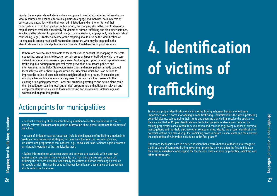Finally, the mapping should also involve a component directed at gathering information on what resources are available for municipalities to engage and mobilize, both in terms of services and capacities within their own administration and on the territory of their municipality i.e. from third parties. In this regard, the mapping should be used to develop a map of services available specifically for victims of human trafficking and also other services, which could be relevant for people at risk (e.g. social welfare, employment, health, education, counselling, legal). Another outcome of the mapping should also be the identification of training needs among municipality's frontline operators who may be engaged in the identification of victims and potential victims and in the delivery of support services.

If there are no resources available at the local level to conduct the mapping to the scale suggested, one option is to focus on certain areas or types of trafficking which are considered particularly prominent in your area. Another good option is to incorporate human trafficking into existing more general crime prevention or outreach policies and interventions. In the Baltic Sea region many cities and municipalities already conduct local safety audits or have in place urban security plans which focus on actions to improve the safety of certain locations, neighbourhoods or groups. These cities and municipalities could include also a diagnosis of human trafficking issues into their existing or on-going processes. Local anti-trafficking strategies and action plans could then be built upon existing local authorities' programmes and policies on relevant and complementary issues such as those addressing social exclusion, violence against women and migrant integration.

## Action points for municipalities

• Conduct a mapping of the local trafficking situation to identify populations at risk, to identify relevant locations and to gather information about perpetrators and facilitators of trafficking.

• In case of limited or scarce resources, include the diagnosis of trafficking situation into existing crime prevention strategies, or make sure the topic is covered in policies, structures and programmes that address, e.g., social exclusion, violence against women or migrant integration at the municipality level.

• Gather information on what resources and services are available within your own administration and within the municipality, i.e., from third parties and create a list outlining the services available specifically for victims of human trafficking as well as for people at risk. This can be used to improve identification, assistance and prevention efforts within the local area.

# 4. Identification of victims of trafficking

Timely and proper identification of victims of trafficking in human beings is of extreme importance when it comes to tackling human trafficking. Identification is the key in protecting potential victims, safeguarding their rights and ensuring that victims receive the assistance they are entitled to. Proper identification of trafficked persons is also a pre-condition for making perpetrators accountable for exploitation and can lead to growing number of criminal investigations and may help disclose other related crimes. Ideally, the proper identification of potential victims can also disrupt the trafficking process before it even starts and thus prevent the exploitation of vulnerable individuals in the first place.<sup>20</sup>

Oftentimes local actors are in a better position than central/national authorities to recognise the first signs of human trafficking, given their proximity they are often the first to initialize the chain of assistance and support for the victims. They can also help identify traffickers and other perpetrators.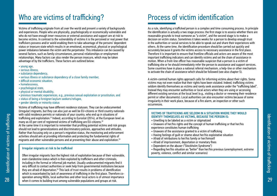Victims of trafficking originate from all over the world and present a variety of backgrounds and experiences. People who are physically, psychologically or economically vulnerable and who do not have enough inner resources or external assistance and support are at risk to become victims. In contrast to the vulnerability of victims it is the perceived or real power that traffickers possess and/or wield enabling them to take advantage of the persons' dependent status or insecure state which results in an emotional, economical, physical or psychological power imbalance between the victim and the perpetrator. This imbalance can be caused by several factors, such as family circumstances, personal relationships or employment relationships. Many factors can also render the person insecure, which may be taken advantage of by the traffickers. These factors are outlined below:

- young age,
- serious illness,
- substance dependency,
- serious illness or substance dependency of a close family member.
- difficult economic situation,
- homelessness,
- psychological state,
- physical or mental disability,
- previous traumatic experiences, e.g., previous sexual exploitation or prostitution, and
- status of being a foreigner/asylum seekers/refugee,
- gender identity or minority status

Victims of trafficking may have different residence statuses. They can be undocumented (irregular) migrants, but they can also just as well be EU-citizens or third country nationals with valid residence permits or nationals of your country, who end up in situations of trafficking and exploitation.<sup>21</sup>Indeed, according to Eurostat (2014), at the European level as many as 65 per cent of registered victims of trafficking are EU-citizens.<sup>22</sup> At the same time it is important to remember that profiling potential victims and risk groups should not lead to generalizations and discriminatory policies, approaches and attitudes. Rather than focusing only on a person's migration status, the monitoring and enforcement activities should aim at providing information and protecting the fundamental rights of migrants and other vulnerable persons and at preventing their abuse and exploitation.23

#### Irregular migrants at risk to be trafficked

Often irregular migrants face the highest risk of exploitation because of their vulnerable, even clandestine status which is then exploited by traffickers and other criminals, including in the formal or informal job market. Usually undocumented migrants find it very difficult to contact authorities or seek help from governmental institutions because they are afraid of deportation.24 This lack of trust results in problems of identification which is exacerbated by lack of awareness of trafficking in the first place. Therefore cooperation among NGOs, local authorities and other local actors is of utmost importance when it comes to building trust among vulnerable populations and groups at risk.

# Who are victims of trafficking?<br>
Process of victim identification

As a rule, identifying a trafficked person is a complex and time consuming process. In principle the identification is actually a two stage process: the first stage is to assess whether there are reasonable grounds to treat someone as "a victim", and the second stage is to make a decision on victim status. Sometimes it takes weeks for a person to develop enough trust in the authorities or social services to be able to speak out and share their experiences with others. At the same time, the identification procedure should be carried out quickly and accurately because it grants the victims access to necessary assistance in the first place. Therefore it is important to ensure that frontline officials and actors are aware of the most important trafficking indicators and can identify victims and set the chain of assistance in motion. When a front-line officer has reasonable suspicion that a person is a victim of trafficking she or he should immediately refer the person to assistance and support services. Some countries have in place a national referral mechanism, a help-line or other mechanism to activate the chain of assistance which should be followed (see also chapter 5).

A victim-centred human rights approach calls for informing victims about their rights. Some victims may not even realize that their rights have been violated. Indeed, trafficking victims seldom identify themselves as victims and rarely seek assistance under the "trafficking label". Instead they may encounter authorities or local actors when they are using or accessing different existing services at the local level (e.g., visiting a doctor or renewing their residence permit or other documents). Local authorities can also encounter victims because of some irregularity in their work place, because of a fire alarm, an inspection or other such occurrences.

#### VICTIMS OF TRAFFICKING ARE SELDOM IN A SITUATION WHERE THEY WOULD IDENTIFY THEMSELVES AS VICTIMS, BECAUSE THE PERSON IS:

- Unwilling to be labeled as a victim or stigmatized
- Unaware of her/his rights and the concept of human trafficking or that her/his experience constitutes human trafficking
- Unaware of the assistance granted to a victim of trafficking
- Having feelings of guilt or shame about her/his exploitative situation
- Afraid of retributions to her/his family or her/himself
- Afraid of imprisonment, deportation or monetary fines
- Dependent on the abuser ("Stockholm Syndrome")
- Regarding her/his situation as "better" than her/his previous (unemployment, extreme poverty, violence, conflict and similar scenarios)

29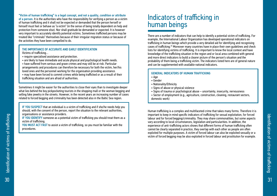"Victim of human trafficking" is a legal concept, and not a quality, condition or attribute of a person. It is the authorities who have the responsibility for verifying a person as a victim of human trafficking and it shall not be expected or demanded that the person herself or himself must feel or behave as "a victim" (in the sense of being totally dependent on help and protection from someone else). Nor shall gratitude be demanded or expected. It is however very important to accurately identify potential victims. Sometimes trafficked persons may be treated like "criminals" themselves because of their irregular migration status or because of the activities they have been compelled to do.

#### THE IMPORTANCE OF ACCURATE AND EARLY IDENTIFICATION Victims of trafficking…

- require specialised assistance and protection.
- are likely to have immediate and acute physical and psychological health needs.
- have suffered from serious and grave crimes and may still be at risk. Particular arrangements and procedures can therefore be necessary for both the victim, her/his loved ones and the personnel working for the organisation providing assistance. • may have been forced to commit crimes while being trafficked or as a result of their
- trafficking situation and are afraid of authorities.

Sometimes it might be easier for the authorities to close their eyes than to investigate deeper what lies behind the boy pickpocketing tourists in the shopping mall or the woman begging and selling fake jewelry in the streets. However, in the recent years an increasing number of cases related to forced begging and criminality has been detected also in the Baltic Sea region.

IF YOU SUSPECT that an individual is a victim of trafficking and if she/he needs help you should, with the consent of the person, report the situation to the relevant authorities, organisations or assistance providers.

IF YOU IDENTIFY someone as a potential victim of trafficking you should treat them as a victim of trafficking.

YOU MUST ACT FAST to assist a victim of trafficking, so you must be familiar with the procedures.

## Indicators of trafficking in human beings

There are a number of indicators that can help to identify a potential victim of trafficking. For example, the International Labour Organization has developed operational indicators on trafficking in human beings which provide a very detailed aid for identifying and recognising cases of trafficking.25 Moreover many countries have in place their own guidelines and check lists for identifying victims of trafficking. It is important to know the local context and have knowledge of the trafficking situation in the region and or local area combined with general and more direct indicators to build a clearer picture of the person's situation and the probability of them being a trafficking victim. The indicators listed here are of general nature and can be supplemented with available national indicators.

#### GENERAL INDICATORS OF HUMAN TRAFFICKING

- Age
- Gender
- Nationality/Ethnicity
- Signs of abuse or physical violence
- Signs of trauma or psychological abuse uncertainty, insecurity, nervousness
- Sector of employment (e.g., agriculture, construction, cleaning, restaurant sectors, domestic work)

Human trafficking is a complex and multifaceted crime that takes many forms. Therefore it is important to keep in mind specific indicators of trafficking for sexual exploitation, for forced labour and for forced begging/criminality. They may share commonalities, but some aspects vary according to local circumstances, legislation and particularities. In addition, the experience of anti-trafficking actors shows that different forms of human trafficking often cannot be clearly separated in practice, they overlap with each other as people are often exploited for multiple purposes. A victim of forced labour can also be exploited sexually or a victim of forced begging may be also exploited in forced labour and prostitution for example.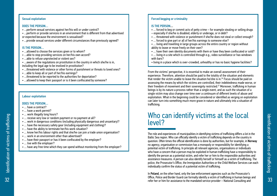### Sexual exploitation

#### DOES THE PERSON…

- …perform sexual services against her/his will or under control?
- …perform or provide services in an environment that is different from that advertised or expected because the environment is sexualised?
- …provide sexual services under different circumstances than previously agreed?

#### IS THE PERSON…

- …allowed to choose the services given or to whom?
- …able to stop providing services on her/his own accord?
- …able to refuse unprotected or violent sex?
- …aware of the regulations on prostitution in the country in which she/he is in, including the legal age to be involved in prostitution?
- …threatened with violence or other forms of punishment or threats to loved ones?
- …able to keep all or part of her/his earnings?
- …threatened to be reported to the authorities for deportation?
- …allowed to keep their passport or is it been confiscated by someone?

## Labour exploitation

#### DOES THE PERSON…

- have a contract?
- … have a work permit?
- … work illegally long hours?
- … receive very low or random payment or no payment at all?
- … work in dangerous conditions (including physically dangerous and unsanitary)?
- … have the necessary safety gear (including equipment and clothing)?
- … have the ability to terminate her/his work situation?
- ... know her/his labour rights and that she/he can join a trade union organisation?
- … work in an environment other than advertised?
- … have their passport or has it been confiscated by the employer?
- … live with the employer?
- ... have any free time which they can spend without monitoring from the employer?

## Forced begging or criminality

## IS THE PERSON…

- ... forced to beg or commit acts of petty crime for example stealing or selling drugs – especially if she/he is disabled, elderly or underage, or in debt?
- ... threatened with violence or punishment if she/he does not steal or collect enough?
- … forced to give part or all of her/his earnings to someone else?
- … living and travelling in large groups across the entire country or region without ability to leave or move freely on their own?
- … have their own identity documents with them or have they been confiscated or sold?
- … living in a site which is controlled through e.g., video surveillance or has windows with bars?
- living in a place which is over-crowded, unhealthy or has no basic hygiene facilities?

From the victims' perspective, it is essential to make an overall assessment of their experience. Therefore, attention should be paid to the totality of the situation and elements that render the victim unable to leave the situation he/she is in.<sup>26</sup> Focus should be paid on assessing the means by which the victims are controlled, their indebtedness made worse, or their freedom of movement and their sovereignty restricted.<sup>27</sup> Moreover, trafficking in human beings is by its nature a process rather than a single event, and as such the situation of a single victim may also change over time over a continuum of different levels of abuse and exploitation. What in the beginning could be considered or identified as verging on exploitation can later turn into something much more grave in nature and ultimately into a situation of trafficking.

## Who can identify victims at the local level?

The role and experiences of municipalities in identifying victims of trafficking differs a lot in the Baltic Sea region. Who can officially identify a victim of trafficking depends on the country in question. Often times the official identification is done by authorities, but for example, in Norway no agency, organisation or commission has a monopoly or responsibility for identifying a potential victim of trafficking. In principle all relevant agencies, organisations or individuals who have a concern that a person may be exploited in human trafficking have a responsibility to identify the person as a potential victim, and refer her or him to the responsible authorities and assistance measures. A person can also identify herself or himself as a victim of trafficking. The police, the Prosecutor's Office, the Immigration Authorities or the Child Welfare Services can each individually confirm the status of a potential victim of trafficking.

In Poland, on the other hand, only the law enforcement agencies such as the Prosecutor's Office, Police and Border Guard can formally identify a victim of trafficking in human beings and refer her or him for assistance to the mandated service provider – National Consulting and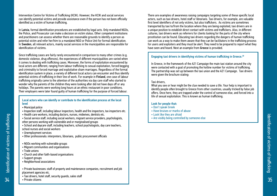Intervention Centre for Victims of Trafficking (KCIK). However, the KCIK and social services can identify potential victims and provide assistance even if the person has not been officially identified as a victim of human trafficking.

In Latvia, formal identification procedures are established by legal acts. Only mandated NGOs, the Police, and Prosecutor can make a decision on victim status. Other competent institutions and practitioners can assess whether there are reasonable grounds to identify a person as potential victim and refer her/him to a mandated NGO or Police Unit for formal identification. In Sweden, all relevant actors, mainly social services in the municipalities are responsible for identification of victims.

Since trafficking cases are fairly rarely encountered in comparison to many other crimes (e.g. domestic violence, drug offences), the experiences of different municipalities are varied when it comes to dealing with trafficking cases. Moreover, the forms of exploitation encountered by local actors are different, ranging from labour trafficking to sexual exploitation, forced begging and criminality to forced marriage and exploitative sham marriages. Regardless of the formal identification system in place, a variety of different local actors can encounter and thus identify potential victims of trafficking in their line of work. For example in Finland, one case of labour trafficking originally came to the attention of the authorities via day care staff who started to wonder why the parents of the children they were looking after did not have days off or any holidays. The parents were working long hours at an ethnic restaurant in poor conditions. Their employers were later found guilty of human trafficking for the purpose of forced labour.

#### Local actors who can identify or contribute to the identification process at the local level

- Municipal police
- Inspection staff, including labour inspectors, health and fire inspectors, tax inspectors etc.
- Health care workers, including doctors, nurses, midwives, dentists etc.
- Social service staff, including social workers, migrant service providers, psychologists, other persons working with vulnerable and or marginalised groups
- School and daycare staff, including teachers, school psychologists, day care teachers, school nurses and social workers
- Unemployment services
- Other professionals: interpreters, librarians, public procurement officials
- NGOs working with vulnerable groups
- Migrant communities and organisations
- Trade unions
- Church and other faith-based organisations
- Support groups
- Neighborhood associations
- Private businesses: staff of property and maintenance companies, recruitment and job placement agencies etc.
- Taxi drivers, hotel staff, security guards, sales staff
- Private citizens

There are examples of awareness raising campaigns targeting some of these specific local actors, such as taxi drivers, hotel staff or librarians. Taxi drivers, for example, are valuable first level identifiers of not only victims, but also traffickers. As victims are sometimes transported by taxi to/from the location where they are being exploited, taxi drivers are in a unique position to establish direct contact with victims and traffickers. Also, in different cultures, taxi drivers work as referrers for clients looking for the parts of the city where prostitution can be found. Educating taxi drivers regarding the dangers of human trafficking can work as a way to make them aware that they can be facilitators in the trafficking process for users and exploiters and they must be alert. They need to be prepared to report what they have seen and heard. Next an example from Greece is provided.

## Engaging taxi drivers in identifying victims of human trafficking in Greece.<sup>28</sup>

In Greece, in the framework of the A21 Campaign the main taxi station around the city were contacted with a goal of promoting the hotline number for victims of trafficking. The partnership was set up between the taxi union and the A21 Campaign. Taxi drivers were given the brochure stating:

## Taxi drivers,

What you see or hear might be the clue needed to save a life. Your help is important to identify people often brought to Greece from other countries, usually tricked by false job offers. Once here, they are trapped under the control of someone else, and forced into a life of sexual exploitation. This is known as human trafficking.

## Look for people that:

- Don't speak Greek
- Have bruises or marks of abuse
- Look like they are afraid
- Are visibly being controlled by someone else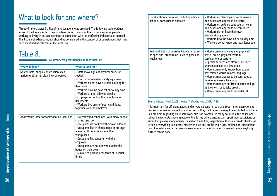## What to look for and where?

Already in the chapter 3 a list of risky locations was provided. The following table outlines some of the key aspects to be considered when looking at the circumstances of people working or living in certain locations in connection with the trafficking indicators introduced. This list is not exhaustive, but should be considered in the context of circumstances that have been identified as relevant at the local level.

## Table 8.

|  |  | <b>Summary for practitioners on identification</b> |
|--|--|----------------------------------------------------|
|--|--|----------------------------------------------------|

| <b>Where to look?</b>                                                             | What to look for?                                                                                                                                                                                                                                                                                                                                                                          |
|-----------------------------------------------------------------------------------|--------------------------------------------------------------------------------------------------------------------------------------------------------------------------------------------------------------------------------------------------------------------------------------------------------------------------------------------------------------------------------------------|
| Restaurants, shops, construction sites,<br>agricultural farms, cleaning companies | • Staff show signs of physical abuse or<br>restraint<br>• Poor or non-existent safety equipment<br>• Workers do not have suitable clothing for<br>their work<br>• Workers have no days off or holiday time<br>• Workers are not allowed breaks<br>• Employer is holding their identification<br>documents<br>• Workers live on site/ poor conditions/<br>together with the employer        |
| Apartments, other accommodation locations                                         | • Overcrowded conditions, with many people<br>sharing one room<br>• Occupants do not know their own address<br>• Occupants live in sheds, tents or storage<br>areas or offices or on-site at their<br>workplaces<br>• Occupants live together with their<br>employer<br>• Occupants are not allowed outside the<br>house on their own<br>• Minibuses pick up occupants at unusual<br>times |

| Local authority premises, including offices,<br>schools, construction sites etc.                            | • Workers on cleaning contracts arrive in<br>minibuses and appear to be fearful<br>• Workers on building contracts arrive in<br>minibuses and appear to be controlled<br>• Workers do not have their own<br>identification papers<br>• Workers have no days off or holiday time<br>• Workers do not know any local language                                                                                                                             |
|-------------------------------------------------------------------------------------------------------------|---------------------------------------------------------------------------------------------------------------------------------------------------------------------------------------------------------------------------------------------------------------------------------------------------------------------------------------------------------------------------------------------------------------------------------------------------------|
| Red light districts or areas known for street<br>or open site prostitution, such as parks or<br>truck stops | • Women/men show signs of physical/<br>sexual abuse, physical restraint,<br>confinement or torture<br>· Special services are offered, included<br>unprotected sex at a low price<br>• Woman/man only knows how to say<br>sex-related words in local language<br>• Women/men appear to be controlled or<br>monitored closely by a pimp<br>• Women/men are not free to come and go<br>as they wish or to take breaks<br>• Women/men appear to be under 18 |

## Source: Adapted from SOLACE – Human Trafficking report 2009, 37-38.

It is important for different actors and private citizens to react and report their suspicions to law enforcement or inspection authorities, if they think a person might be exploited or if there is a problem regarding an unsafe work site, for example. In many countries, the police and labour inspectorates have in place online forms where anyone can report their suspicions or submit a tip even anonymously. Based on these tips, inspection authorities can do check-ups to see if everything is in order. Moreover, also anti-trafficking NGOs, hotlines or trade unions can offer advice and expertise in cases where more information is needed before anything further can be done.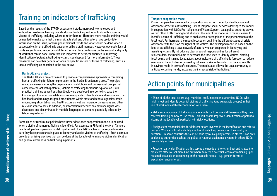## Training on indicators of trafficking

Based on the results of the STROM assessment study, municipality employees and authorities need more training on indicators of trafficking and what to do with suspected victims of trafficking, including where to refer them to. Therefore more regular training would be needed to make sure that the municipality staff and other actors have up-to-date information on the issue, local/regional/national trends and what should be done when a suspected victim of trafficking is encountered by a staff member. However, obviously lack of funds and/or limited resources of different actors place limitations on the amount and quality of work that can be done. Therefore it is important to set local priorities in improving identification of potential trafficking victims (see chapter 3 for more information). These measures can be either general or focus on specific sectors or forms of trafficking, such as labour trafficking as described in the box below.

#### Berlin Alliance project

The Berlin Alliance project<sup>29</sup> aimed to provide a comprehensive approach to combating human trafficking for labour exploitation in the Berlin-Brandenburg area. The project raised awareness among the organisations, institutions and professional groups that come into contact with (potential) victims of trafficking for labour exploitation. Both practical trainings as well as a handbook were developed in order to increase the knowledge of local actors while also improving victim identification and assistance. The handbook and trainings targeted practitioners within state and federal agencies, trade unions, migration, labour and health actors as well as migrant organisations and other relevant stakeholders. In addition, an information brochure on employee rights was developed and disseminated in multiple languages to persons potentially affected by labour exploitation.<sup>30</sup>

Some cities or rural municipalities have further developed cooperation models to be used when a victim of human trafficking is identified. For example in Finland, the city of Tampere has developed a cooperation model together with local NGOs active in the region to make sure they have procedures in place to identify and assist victims of trafficking. Such examples provide promising practices that can be done at the local level to improve victim identification and general awareness on trafficking in persons.

#### Tampere cooperation model

City of Tampere has developed a cooperation and action model for identification and assistance of victims of trafficking. City of Tampere social services developed the model in cooperation with NGOs Pro-tukipiste and Victim Support, local police authority as well as two other NGOs running local shelters. The aim of the model is to make it easier to identify victims of trafficking and to enable easier recognition of the phenomenon at the local level. Furthermore, the model focused on outlining the different stages of crisis assistance with focus on the rights of the victims. The developed model is based on the idea of establishing a local network of actors who can cooperate in identifying and assisting victims. By introducing clear areas of responsibilities for different stakeholders, the model aims to decrease the time used to identify victims. Naming focal points and training local actors about indicators of trafficking is foreseen to reduce overlaps in the activities organised by different stakeholders which in the end results in savings made in terms of resources. The model also allows the local community to anticipate coming trends, including the increased risk of trafficking.<sup>31</sup>

## Action points for municipalities

• Think of all the local actors (e.g. municipal staff, inspection authorities, NGOs) who might meet and identify potential victims of trafficking (and vulnerable groups) in their line of work and establish cooperation with them.

• Make sure indicators of trafficking are available for frontline staff to use and they have received training on how to use them. This will enable improved identification of potential victims at the local level, particularly in risky locations.

• Assign clear responsibilities for different actors involved in the identification and referral process. Who can officially identify a victim of trafficking depends on the country in question – in some countries this can be done by municipality actors, in others it can only be done by authorities such as the police or national assistance system, in others NGOs can identify victims.

• Focus on early identification as this serves the needs of the victim best and is also the most cost effective solution. Find out where to refer a potential victim of trafficking upon reasonable suspicion (depending on their specific needs – e.g. gender, forms of exploitation encountered).

ldentification of victims of trafficking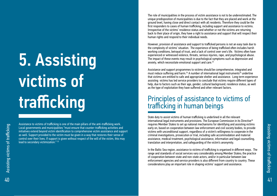# 5. Assisting victims of trafficking

Assistance to victims of trafficking is one of the main pillars of the anti-trafficking work. Local governments and municipalities "must ensure that counter-trafficking activities and initiatives extend beyond victim identification to comprehensive victim assistance and support as well. Support provided to the victim must be given in a way that restores their sense of control over their lives. If support is given without respect of the will of the victim, this may lead to secondary victimization." <sup>32</sup>

The role of municipalities in the process of victim assistance is not to be underestimated. The unique predisposition of municipalities is due to the fact that they are placed and work at the ground level, having close and direct contact with all residents. Therefore they could be the first responders to cases of human trafficking, including support and assistance to victims. Irrespective of the victims' residence status and whether or not the victims are returning back to their place of origin, they have a right to assistance and support that will respect their human rights and respond to their individual needs.

However, provision of assistance and support to trafficked persons is not an easy task due to the complexity of victims' situation. The experience of being trafficked often includes harsh working conditions, betrayal of trust, and a lack of control over one's life. Victims often have experienced or witnessed violence, threats, serious injuries, rape, and psychological abuse. The impact of these events may result in psychological symptoms such as depression and anxiety, which necessitate emotional support and care.<sup>33</sup>

Assistance and support programmes to victims should be comprehensive, integrated and must reduce suffering and harm.<sup>34</sup> A number of international legal instruments<sup>35</sup> underline that victims are entitled to safe and appropriate shelter and assistance. Long term experience assisting victims has led service providers to conclude that victims require different types of help, due to factors such as their age, gender, cultural background, residence status, as well as the type of exploitation they have suffered and other relevant factors.

## Principles of assistance to victims of trafficking in human beings

State duty to assist victims of human trafficking is underlined in all the relevant international legal instruments and provisions. The European Commission in its Directive<sup>36</sup> requires Member States to set up national mechanisms for identifying and assisting victims early on, based on cooperation between law enforcement and civil society bodies, to provide victims with unconditional support, regardless of a victim's willingness to cooperate in the criminal investigations, prosecution or trial, including safe accommodation and material assistance, medical treatment, psychological assistance, information and legal counselling, translation and interpretation, and safeguarding of the victim's anonymity.

In the Baltic Sea region, assistance to victims of trafficking is organised in different ways. The range and standards of social services vary considerably among Member States; the practice of cooperation between state and non-state actors, and/or in particular between law enforcement agencies and service providers is also different from country to country. These considerations play an important role in shaping victims' support and assistance.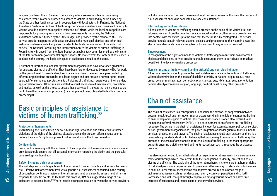In some countries, like in Sweden, municipality actors are responsible for organising assistance, while in other countries assistance to victims is provided by NGOs funded by the State or other funding sources in cooperation with local actors. In Finland, the National Assistance System for Victims of Trafficking coordinates assistance and provides it directly to victims who do not have municipality residence in Finland, while the local municipalities are responsible for providing assistance to their own residents. In Latvia, the National Assistance System is funded by the State budget and provided by the mandated NGO. The service provider cooperates with social services in the municipal districts and other local institutions where a trafficked person resides to facilitate re-integration of the victim into society. The National Consulting and Intervention Centre for Victims of human trafficking in Poland is fully financed from the State budget as a public task commissioned by the Minister of the Interior to non-governmental organisations. No matter what the system of assistance is in place in the country, the basic principles of assistance should be the same.

A number of international and intergovernmental organisations have developed guidelines for assisting victims of trafficking. They have been further developed by many NGOs for work on the ground level to provide direct assistance to victims. The main principles drafted by different organisations are similar to a large degree and incorporate a human rights-based approach "ensuring equal protections to all victims of trafficking, regardless of their gender, age, or field of work. All victims are entitled to equal access to aid mechanisms, protection, and justice, as well as the choice to access these services in the way that they choose so as not to have their agency compromised (for example, not being obligated to testify in criminal proceedings)."<sup>37</sup>

## Basic principles of assistance to victims of human trafficking.<sup>38</sup>

#### Protection of human rights

As trafficking itself constitutes a serious human rights violation and often leads to further violations of the rights of the victims, all assistance and protection efforts should seek to restore the victim's rights and prevent further violations without discrimination.

## **Confidentiality**

From the first meeting with the victim up to the completion of the assistance process, service providers should ensure that all personal information regarding the victim and the particular case are kept confidentially.

## Safety, including a risk assessment

The first step in confronting a threat to the victim is to properly identify and assess the level of risk. Effective risk assessment involves a generic risk assessment conducted in the country of destination, continuous review of the risk assessment, and specific assessment of risk in response to specific events. To facilitate this process, IOM has suggested a range of risk indicators to be considered.39 Where there is strong cooperation between the service providers, including municipal actors, and the relevant local law enforcement authorities, the process of risk assessment should be conducted in close consultation.<sup>40</sup>

## Informed agreement and choice

All assistance to victims of trafficking should proceed on the basis of the victim's full and informed consent from the time the municipal social worker or other service provider comes into contact with the victim up to the time that the victim is fully reintegrated. The service provider should explain relevant actions, policies, and procedures to the victim in a way that she or he understands before asking her or his consent to any action or proposal.

#### Empowerment

In recognition of the rights and needs of victims of trafficking to make their own informed choices and decisions, service providers should encourage them to participate as much as possible in the decision-making processes.

## Non-victimizing attitude (victim-blaming attitude) and non-discrimination

All service providers should provide the best suitable assistance to the victims of trafficking without discrimination on the basis of disability, ethnicity or national origin, colour, race, creed, gender, marital status, domestic circumstances, age, HIV status, sexual orientation, gender identity/expression, religion, language, political belief or any other grounds.41

## Chain of assistance

The chain of assistance is a concept used to describe the network of cooperation between governmental, local and non-governmental actors working in the field of counter-trafficking to ensure help and support to victims. The chain of assistance is often also referred to as the national referral mechanism (NRM). It is a core element of an effective anti-trafficking response. The actors in the chain of assistance include, for example, municipal social services or non-governmental organisations, the police, migration or border guard authorities, health services, prosecutors and lawyers. The chain of assistance should start as soon as there is a reasonably grounded indication for believing that person might be a victim of trafficking. The purpose of the chain of assistance is to refer a victim of trafficking to the most appropriate authority ensuring a victim-centred and rights-based approach throughout the assistance process.

It is also recommended to establish a local or regional referral mechanism – a co-operative framework through which local actors fulfil their obligations to identify, protect and assist victims of trafficking. The basic aim of the referral mechanism is to ensure that human rights of trafficked person are respected and to provide an effective way to refer victims to services. In addition, local referral mechanisms can improve procedures on a broad range of victim-related issues such as residence and return, victim compensation and so forth. Formalised and well-thought through cooperation among various actors can save time, increase effectiveness and reduce costs of the provided services.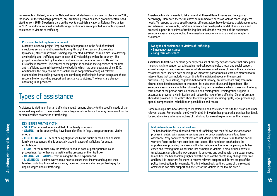For example in Poland, where the National Referral Mechanism has been in place since 2005, the model of the voivodship (province) anti-trafficking teams has been gradually established starting from 2010. Sweden is also on the way to establish a National Referral Mechanism in 2016. In addition, regional anti-trafficking coordinators are appointed to enable improved assistance to victims of trafficking.

#### Provincial trafficking teams in Poland

Currently, a special project "Improvement of cooperation in the field of national structures set up to fight human trafficking, through the creation of voivodship (provincial) structures/teams" is being implemented in Poland. Its main aim is to develop a voivodship anti-trafficking team in each of 17 voivodships within the country. The project is implemented by the Ministry of Interior in cooperation with NGOs and the IOM office in Warsaw. The content of the project is based on the experience of the first anti-trafficking team in Mazowieckie voivodship which has been operating since 2010. Additionally, the project aims to establish close cooperation among all relevant stakeholders involved in preventing and combating trafficking in human beings and those responsible for providing support and assistance to victims. The teams are already operating in 16 provinces.

## Types of assistance

Assistance to victims of human trafficking should respond directly to the specific needs of the individual in question. These needs cover a large variety of topics that may be relevant for the person identified as a victim of trafficking.

#### KEY ISSUES FOR THE VICTIM:

- SAFETY personal safety and that of the family or others
- **STATUS** in the country they have been identified in (legal, irregular migrant, victim) or other)

• CONFIDENTIALITY – fear of being stigmatised by the public or media and possible family consequences; this is especially acute in cases of trafficking for sexual exploitation

• FEAR – of the reprisals by the traffickers and, in case of participation in court proceedings, fear of having to testify in the presence of their trafficker

• RE-TRAUMATISATION – from reliving the abuse experienced

• LIVELIHOOD – victims worry about how to secure their income and support their families, including financial assistance, receiving compensation and/or back-pay for unpaid wages (labour trafficking).

Assistance to victims needs to take note of all these different issues and be adjusted accordingly. Moreover, the victims have both immediate needs as well as more long term needs. To respond to these specific needs, different actors have developed assistance models and schemes. For example, La Strada network has developed a model of assistance and practical support for victims of trafficking that includes the two types of the assistance: emergency assistance, reflecting the immediate needs of victims, as well as long term assistance.

Two types of assistance to victims of trafficking: • Emergency assistance

- 
- Long term assistance

Assistance to trafficked persons generally consists of emergency assistance that principally means crisis intervention care, including medical, psychological, legal and social support, as well as a prior needs assessment of all above mentioned areas of needs. It also includes residential care (shelter, safe housing). An important part of medical care are mental health interventions that can include – according to the individual needs of the person in question – e.g. counselling, cognitive-behavioural therapy, antidepressant drug treatment, alcohol detoxification services or treatment for substance abuse and dependence. The emergency assistance should be followed by long term assistance which focuses on the long term needs of the person such as education and reintegration. Reintegration support is essential to prevent re-victimisation and reduce the risks of re-trafficking. Clear information should be provided to the victim about the whole process including rights, legal proceedings, appeal, compensation, rehabilitation possibilities and return.

Some municipalities have developed identification and assistance tools to their staff and other relevant actors. For example, the City of Malmö in Sweden has prepared a practical handbook for social workers who have victims of trafficking for sexual exploitation as their clients.

#### Malmö handbook for social workers

The handbook briefly outlines indicators of trafficking and then follows the assistance process in detail, with separate sections on emergency assistance and long term assistance. Very concrete checklists are included in order to make sure that the social workers focus on the right questions and issues. The handbook emphasises the importance of providing the clients with information about what is happening with their cases and treating them as persons, not as helpless victims. It also outlines how cultural factors can affect the way a person is behaving and dealing with their experiences. In addition, the handbook highlights how the needs of the clients may change over time and how it is important for them to receive relevant support in different stages of the police investigation, for example. Finally the handbook outlines some of the relevant actors who can offer support and shelter for the victims in the Malmö area.<sup>42</sup>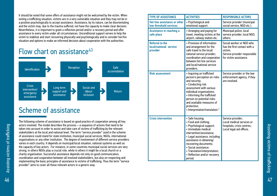It should be noted that some offers of assistance might not be welcomed by the victim. When exiting a trafficking situation, victims are in a very vulnerable situation and they may not be in a position psychologically to accept assistance. Assistance, by its nature, can be disorientating and the victim may, due to the trauma suffered, not have the capacity to make clear decision. Nevertheless, it is important to grant a reflection period and/or a recovery period and offer assistance to every victim under all circumstances. Unconditional support serves to help the victim to stabilize and start recovering physically and psychologically and to consider her/his situation and options to make an informed decision about cooperation with the authorities.

## Flow chart on assistance<sup>43</sup>



## Scheme of assistance

The following scheme of assistance is based on good practice of cooperation among all key actors involved. The model describes the process – a sequence of actions that need to be taken into account in order to assist and take care of victims of trafficking by the relevant stakeholders at the local and national level. The term "service provider" used in the scheme of assistance could stand for state institution, municipal social services, NGOs, international organisations or any other institution. The degree of involvement of different service providers varies in each country. It depends on municipal/local situation, national systems as well as the capacity of key actors. For instance, in some countries municipal social services are very strong, in others NGOs play a crucial role, while in others it might be a local church or a charity organisation. Successful assistance depends not only on good communication, coordination and cooperation between all involved stakeholders, but also on respecting and implementing the basic principles of assistance to victims of trafficking. Thus the term "service provider" aims to cover all these relevant actors in a generic way.

| <b>TYPE OF ASSISTANCE</b>                                    | <b>ACTIVITIES</b>                                                                                                                                                                                                                                                                                                | <b>RESPONSIBLE ACTORS</b>                                                                                                     |
|--------------------------------------------------------------|------------------------------------------------------------------------------------------------------------------------------------------------------------------------------------------------------------------------------------------------------------------------------------------------------------------|-------------------------------------------------------------------------------------------------------------------------------|
| Hot line assistance or other<br>low threshold services       | • Psychological and<br>emotional support.                                                                                                                                                                                                                                                                        | Service provider (municipal<br>social service, NGO etc.).                                                                     |
| Assistance in reaching a<br>safe place                       | • Arranging and paying for<br>travel, meeting victims at the<br>airport, railway station etc.                                                                                                                                                                                                                    | Municipal police, local<br>service provider, local NGO,<br>others.                                                            |
| <b>Referral to the</b><br>local/national service<br>provider | • Provision of information<br>and arrangement for the<br>safe travel to the local/<br>national service provider;<br>coordination and cooperation<br>between hot line services<br>and local/national service<br>providers.                                                                                        | Social worker or NGO who<br>has the first contact with a<br>victim:<br>Service provider responsible<br>for victim assistance. |
| <b>Risk assessment</b>                                       | • Inquiring on trafficked<br>person's perception on risks<br>and security;<br>• Conducting risk<br>assessment with various<br>individual organisations;<br>• Informing the trafficked<br>person on potential risks<br>and available measures of<br>protection;<br>• Interpretation/translation.*                 | Service provider or the law<br>enforcement agency, if they<br>are involved.                                                   |
| <b>Crisis intervention</b>                                   | · Safe housing;<br>• Food and clothing;<br>• Psychological support;<br>• Immediate medical<br>intervention/assistance;<br>• Legal assistance, including<br>assistance in obtaining/<br>recovering documents;<br>· Social assistance;<br>• Translation/interpretation;<br>• Reflection and/or recovery<br>period. | Service provider;<br>Local medical services or<br>hospitals; crisis centres;<br>Local legal aid offices.                      |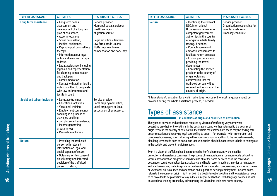| <b>TYPE OF ASSISTANCE</b>          | <b>ACTIVITIES</b>                                                                                                                                                                                                                                                                                                                                                                                                                                                                                                                               | <b>RESPONSIBLE ACTORS</b>                                                                                                                                                                                    |
|------------------------------------|-------------------------------------------------------------------------------------------------------------------------------------------------------------------------------------------------------------------------------------------------------------------------------------------------------------------------------------------------------------------------------------------------------------------------------------------------------------------------------------------------------------------------------------------------|--------------------------------------------------------------------------------------------------------------------------------------------------------------------------------------------------------------|
| Long term assistance               | • Long term needs<br>assessment and<br>development of a long term<br>plan of assistance;<br>• Accommodation;<br>• Social counselling;<br>• Medical assistance;<br>• Psychological counselling/<br>therapy;<br>• Information about legal<br>rights and avenues for legal<br>redress;<br>• Legal assistance, including<br>legal aid and representation<br>for claiming compensation<br>and back pay;<br>• Family mediation;<br>• Contact with authorities if a<br>victim is willing to cooperate<br>with law enforcement and<br>testify in court. | Service provider;<br>Municipal social services;<br>Health services:<br>Migration service;<br>Legal aid offices, lawyers/<br>law firms, trade unions;<br>NGOs help in obtaining<br>compensation and back-pay. |
| <b>Social and labour inclusion</b> | • Language training;<br>• Educational activities;<br>• Vocational training;<br>• Employment counseling/<br>coaching in a process of<br>active job seeking;<br>· Job placement assistance;<br>• Income generating<br>programmes;<br>• Recreation activities.                                                                                                                                                                                                                                                                                     | Service provider;<br>Local employment office;<br>Local employers or local<br>association of employers.                                                                                                       |
| <b>Return</b>                      | • Providing the trafficked<br>person with relevant<br>information on legal and<br>social aspects of return;<br>• Obtaining written consent<br>on voluntary and informed<br>decision of the trafficked<br>person to return;                                                                                                                                                                                                                                                                                                                      |                                                                                                                                                                                                              |

| <b>TYPE OF ASSISTANCE</b> | <b>ACTIVITIES</b>                                                                                                                                                                                                                                                                                                                                                                                                                                                                                                                      | <b>RESPONSIBLE ACTORS</b>                                                                       |
|---------------------------|----------------------------------------------------------------------------------------------------------------------------------------------------------------------------------------------------------------------------------------------------------------------------------------------------------------------------------------------------------------------------------------------------------------------------------------------------------------------------------------------------------------------------------------|-------------------------------------------------------------------------------------------------|
| <b>Return</b>             | • Identifying the relevant<br>NGO/International<br>Organisation networks or<br>competent government<br>authorities in the country<br>of origin to initiate family<br>tracing, if needed;<br>• Contacting relevant<br>embassies/consulates to<br>facilitate return process;<br>• Ensuring accuracy and<br>providing the travel<br>documents:<br>• Contacting the service<br>provider in the country of<br>origin, obtaining<br>confirmation that the<br>trafficked person will be<br>received and assisted in the<br>country of origin. | Service provider<br>Organisation responsible for<br>voluntary safe return<br>Embassy/consulate. |

\*Interpretation/translation for a victim who does not speak the local language should be provided during the whole assistance process, if needed.

## Types of assistance

in countries of origin and countries of destination

The types of services and assistance required by victims of trafficking vary somewhat depending on whether the victim is in the destination country or has returned to the country of origin. While in the country of destination, the victims most immediate needs may be finding safe accommodation and receiving legal counselling to assist - for example - with immigration and compensation issues, upon returning to the country of origin in addition to the immediate needs, also long term needs such as social and labour inclusion should be addressed to help to reintegrate in the society and prevent re-victimisation.

Even if a victim of trafficking has been returned to her/his home country, the need for protection and assistance continues. The process of reintegration can be enormously difficult for victims. Rehabilitation programs should include all of the same services as in the context of destination countries: shelter, legal assistance and health care. In addition, in order to reintegrate and start a new live, trafficking victims can benefit from education programmes, such as job training or vocational skills courses and orientation and support on seeking employment. In some cases return to the country of origin might not be in the best interest of a victim and the assistance needs to be provided to help a victim to stay in the country of destination. Both language courses as well as vocational training are the key in integrating the victim into their new home country.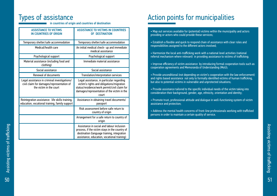## Types of assistance

in countries of origin and countries of destination

| <b>ASSISTANCE TO VICTIMS</b><br><b>IN COUNTRIES OF ORIGIN</b>                                                        | <b>ASSISTANCE TO VICTIMS IN COUNTRIES</b><br>OF DESTINATION                                                                                                                                    |  |
|----------------------------------------------------------------------------------------------------------------------|------------------------------------------------------------------------------------------------------------------------------------------------------------------------------------------------|--|
| Temporary shelter/safe accommodation                                                                                 | Temporary shelter/safe accommodation                                                                                                                                                           |  |
| Medical/health care                                                                                                  | An initial medical check- up and immediate<br>medical assistance                                                                                                                               |  |
| Psychological support                                                                                                | Psychological support                                                                                                                                                                          |  |
| Material assistance (including food and<br>clothing)                                                                 | Immediate material assistance                                                                                                                                                                  |  |
| Social assistance                                                                                                    | Social assistance                                                                                                                                                                              |  |
| Renewal of documents                                                                                                 | Translation/interpretation services                                                                                                                                                            |  |
| Legal assistance in criminal investigations/<br>civil claim for damages/representation of<br>the victim in the court | Legal assistance, in particular regarding<br>victim's rights and obligations/migration<br>status/residence/work permit/civil claim for<br>damages/representation of the victim in the<br>court |  |
| Reintegration assistance: life skills training,<br>education, vocational training, family support                    | Assistance in obtaining travel documents/<br>passport                                                                                                                                          |  |
|                                                                                                                      | Risk assessment before safe return to<br>country of origin                                                                                                                                     |  |
|                                                                                                                      | Arrangement for a safe return to country of<br>origin                                                                                                                                          |  |
|                                                                                                                      | Assistance in social and labour inclusion<br>process, if the victim stays in the country of<br>destination (language training, integration<br>assistance, education, vocational training)      |  |

# Action points for municipalities

• Map out services available for (potential) victims within the municipality and actors providing or actors who could provide these services;

- Establish a flexible and quick to respond chain of assistance with clear roles and responsibilities assigned to the different actors involved;
- Harmonize the local anti-trafficking work with a national level activities (national referral mechanism where relevant) in providing assistance to victims of trafficking;
- Improve efficiency of victim assistance by introducing formal cooperation tools such as cooperation agreements and Memoranda of Understanding (MoU);
- Provide unconditional (not depending on victim's cooperation with the law enforcement) and rights based assistance not only to formally identified victims of human trafficking, but also to potential victims in vulnerable and unprotected situations;
- Provide assistance tailored to the specific individual needs of the victim taking into consideration their background, gender, age, ethnicity, orientation and identity;
- Promote trust, professional attitude and dialogue in well-functioning system of victim assistance and protection;
- Address the mental health concerns of front-line professionals working with trafficked persons in order to maintain a certain quality of service.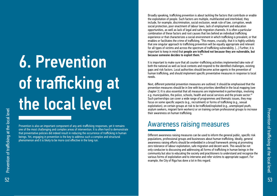# 6. Prevention of trafficking at the local level

Prevention is also an important component of any anti-trafficking responses, yet it remains one of the most challenging and complex areas of intervention. It is often hard to demonstrate that preventative policies did indeed result in reducing the occurrence of trafficking in human beings. Yet, engaging in prevention is the key to address such a complex and structural phenomenon and it is likely to be more cost effective in the long run.

Broadly speaking, trafficking prevention is about tackling the factors that contribute or enable the exploitation of people. Such factors are multiple, multifaceted and interlinked, they include, for example, discrimination, social exclusion, weak rule of law, corruption, weak social protection, poor enactment of labour laws, lack of employment and education opportunities, as well as lack of legal and safe migration channels. It is often a particular combination of these factors and root causes that lies behind an individual trafficking experience or that characterizes a social environment in which trafficking is prevalent, or that enables or facilitates the crime of trafficking. "This means, crucially, that it is highly unlikely that one singular approach to trafficking prevention will be equally appropriate and relevant for all types of victims and across the spectrum of trafficking vulnerability. […] Further, it is important to keep in mind that people are trafficked not because they are vulnerable, but because someone decides to exploit them."44

It is important to make sure that all counter-trafficking activities implemented take note of both the national as well as local contexts and respond to the identified challenges, existing gaps and risk factors. Local authorities should become active agents in the prevention of human trafficking, and should implement specific preventative measures in response to local needs.

Next, different potential prevention measures are outlined. It should be emphasised that the prevention measures should be in line with key priorities identified in the local mapping (see chapter 3.) It is also essential that all measures are implemented in partnerships, involving e.g. municipalities, the police, schools, health and social services and the private sector.<sup>45</sup> Such partnerships can cover a wide range of programmes and thematic issues, they may focus on some specific aspects (e.g., recruitment) or forms of trafficking (e.g., sexual exploitation), on certain groups at risk to be trafficked/exploited (e.g., unemployed youth, asylum seekers, migrant farm workers) or on training certain professional groups to increase their awareness on human trafficking.

## Awareness raising measures

Different awareness raising measures can be used to inform the general public, specific risk populations, professional groups and businesses about human trafficking. Ideally, general awareness raising efforts should be embedded in a broad framework aiming at promoting zero tolerance of labour exploitation, safe migration and decent work. This would be not only conducive to discussing and addressing all forms of trafficking in human beings in the community but also to educating the society and practitioners to understand and recognize the various forms of exploitation and to intervene and refer victims to appropriate support. For example, the City of Riga has done a lot in this regard.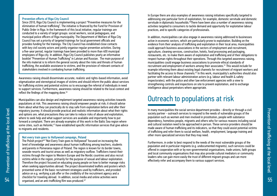#### Prevention efforts of Riga City Council

Since 2010, Riga City Council is implementing a project "Preventive measures for the elimination of human trafficking". The initiative is financed by the Fund for Provision of Public Order in Riga. In the framework of this local initiative, regular trainings are conducted to a variety of target groups: social workers, social pedagogues, and municipal police officers of Riga municipality. The Department of Welfare of Riga City Council has set a priority of targeted trainings for local government officials and provides funding for the trainings. The City Council has established close contacts with key civil society actors and jointly organise regular prevention activities. During a five-year period, regular trainings have been provided to more than 400 municipal employees of Riga city. In addition, Riga City Council publishes yearly an informative booklet "Prevention of Human Trafficking" in Latvian and Russian. The main purpose of the info material is to inform the general society about the risks and threats of human trafficking, the available assistance to victims, and the provision of relevant contacts of stakeholders involved in combating human trafficking.

Awareness raising should disseminate accurate, realistic and rights-based information, avoid stigmatization and stereotypical images of victims and should inform the public about services for trafficking victims and potential victims so to encourage the referral of individuals in need to support services. Furthermore, awareness raising should be related to the local context and reflect the findings of the mapping done.<sup>46</sup>

Municipalities can also design and implement targeted awareness raising activities towards populations at risk. This awareness raising should empower people at risk; it should advise them about what they can practically do to stay safe from exploitation before and after their migratory journey. It should provide practical and realistic information about what their rights and options are, what precautions they can take to reduce risks of abuse and exploitation, where to seek help and what support services are available and importantly how to put forward a complaint. There are already examples of this work in the Baltic Sea region where some cities, such as Helsinki,<sup>47</sup> have established specific information services that give advice to migrants and residents.

#### Not every train goes to Hollywood campaign, Poland

The Polish project<sup>48</sup> "Not Every Train goes to Hollywood" focused on increasing the level of knowledge and awareness about human trafficking among teachers, students and parents in Pomerania region of Poland. The region is known for its border towns, seaside resorts and tourist areas as well as migratory outflow. Traffickers transit their victims through the region to Western Europe and the Nordic countries and also recruit victims while in the region, primarily for the purpose of sexual and labour exploitation. Therefore the project focused on educating young people on how to better manage risks when seeking opportunities abroad. The project disseminated leaflets and posters which presented some of the basic recruitment strategies used by traffickers, and provided advice on e.g. verifying a job offer or the credibility of the recruitment agency and a checklist for traveling abroad. In addition, social media and online activities were organised, and an anti-trafficking film was produced.<sup>49</sup>

In Europe there are also examples of awareness raising initiatives specifically targeted to addressing one particular form of exploitation, for example, domestic servitude and domestic servitude in diplomatic households.<sup>50</sup>There have been also a number of awareness raising activities targeted to consumers to tackle demand and opportunity for exploitative labour practices, and to specific categories of professionals.

In addition, municipalities can also engage in awareness raising addressed to businesses active in economic sectors, which are particularly prone to exploitation. Building on the evidence from their analysis of trafficking and exploitation in their local area, municipalities could approach business associations in the sectors of employment and recruitment, agriculture, cleaning services, construction, hotels, food processing and packaging, restaurants, etc. to make them aware of exploitation and trafficking and of their obligations to respect human rights throughout their operations. Through this targeted awareness raising, municipalities could engage business associations to promote ethical standards of recruitment and employment of workers among their associates.<sup>51</sup> This would include for example informing them about existing legal channels for recruitment of migrant workers and facilitating the access to those channels.52 In this work, municipality's authorities should also partner with relevant labour administration actors (e.g. labour and health & safety inspectorates), with the police and other law enforcement agencies with a view to strengthening controls and inspections on site to prevent exploitation, and to exchange intelligence about perpetrators where appropriate.

## Outreach to populations at risk

In many municipalities the social service department provides - directly or through a civil society partner - outreach services to respond to the needs of vulnerable groups of the population such as women and men involved in prostitution, people with substance dependency, homeless people, migrants and others who for various reasons including social and cultural isolation need to be approached in person. These service providers should be made aware of human trafficking and its indicators, so that they could assist potential victims of trafficking and refer them to social welfare, health, employment, language training and other more specialized services that they may need.

Furthermore, in order to best respond to the needs of the most vulnerable groups of the population and in particular migrants (e.g. undocumented migrants), such services could be offered in cooperation with or by non-governmental organisations, trade unions, faith groups and local community organisations that may also provide cultural mediators or community leaders who can gain more easily the trust of different migrant groups and can more effectively refer and accompany them to various support services.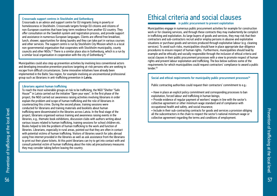#### Crossroads support centres in Stockholm and Gothenburg

Crossroads is an advice and support centre for EU migrants living in poverty or homelessness in Stockholm. Crossroads targets foreign EU citizens and citizens of non-European countries that have long-term residence from another EU country. They offer consultation on the Swedish system and registration process, and provide support and assistance in numerous European languages. Clients are offered free breakfast, lunch, shower, opportunities for doing laundry and they can take part in various courses and other services. The support centre is run by Stockholm City Mission which is a local non-governmental organisation that cooperates with Stockholm municipality, county councils and other NGOs.53 There is a similar place also in Gothenburg, which is a run by a similar local organisation in cooperation with the city of Gothenburg.<sup>54</sup>

Municipalities could also step up prevention activities by involving less conventional actors and developing innovative prevention practices targeting at-risk persons who are seeking to escape from difficult circumstances. Some innovative initiatives have already been implemented in the Baltic Sea region, for example involving an unconventional professional group such as librarians in anti-trafficking prevention in Latvia.

#### Librarians against human trafficking

To reach the most vulnerable groups at risk to be trafficking, the NGO "Shelter "Safe House"" in Latvia carried out the initiative "Open your eyes". In the first phase of the project, the NGO carried out awareness raising activities involving librarians in order explain the problem and scope of human trafficking and the role of librarians in counteracting this crime. During the second phase, training sessions were conducted for librarians and training materials and booklets about human trafficking were disseminated in the libraries across Latvia. In the final stage of the project, librarians organised various training and awareness raising events in the libraries, e.g., thematic book exhibitions, discussion clubs with authors writing about various issues related to human trafficking, training sessions for school children etc. Books helped to link the problem of human trafficking to the work and function of libraries. Librarians, especially in rural areas, pointed out that they are often in contact with potential victims of human trafficking. Visitors of libraries search for jobs abroad using free internet provided in the libraries as well as ask assistance from the librarians to print out their plane tickets. At this point librarians can try to get into contact with and consult potential victim of human trafficking about the risks ad precautionary measures they may consider taking before leaving the country.

## Ethical criteria and social clauses

in public procurement to prevent exploitation

Municipalities engage in numerous public procurement activities for example for construction work or for cleaning services, and through these contracts they may inadvertently be complicit in trafficking and exploitation. As large buyers of goods and services, they may risk that their contractors and sub-contractors recruit and/or employ persons in abusive and exploitative situations or purchase goods and services produced through exploitative labour (e.g. cleaning services). To avoid such risks, municipalities should have in place appropriate due-diligence procedures to ensure respect of human rights. Furthermore, municipalities should lead by example and be ethically and socially responsible through the inclusion of ethical criteria and social clauses in their public procurement processes with a view to promote respect of human rights and prevent labour exploitation and trafficking. The box below outlines some of the requirements for which municipalities could request contractors' compliance to award a public tender.<sup>55</sup>

## Social and ethical requirements for municipality public procurement processes<sup>56</sup>

Public contracting authorities could request their contractors' commitment to e.g.:

- Have in place an explicit policy commitment and corresponding processes to ban exploitation, forced labour and trafficking in human beings;
- Provide evidence of regular payment of workers' wages in line with the sector's collective agreement or other minimum wage standard and of compliance with occupational health and safety, and social insurance;
- Include in their sub-contracting contracts for goods and services a provision obliging all the subcontractors in the chain to respect the sector's national minimum wage or collective agreement regarding the terms and conditions of employment.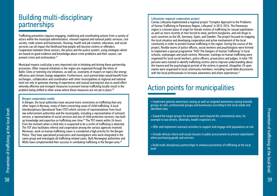## Building multi-disciplinary partnerships

Trafficking prevention requires engaging, mobilising and coordinating actions from a variety of actors within the municipal administration, relevant regional and national public services, civil society, trade unions and businesses. Housing, health and job creation, education, and social services can all impact the likelihood that people will become victims or offenders. Cooperation between these sectors, the police and the justice system, using strategies which are based on good evidence and knowledge about crime problems and their causes, can prevent crime and victimization.<sup>57</sup>

Municipal mayors could play a very important role in initiating and driving these partnership processes. Other mayoral initiatives in the region are organised through the Union of Baltic Cities or twinning city initiatives, as well as, covenants of mayors on topics like energy efficiency and climate change adaptation. Furthermore, such partnerships would benefit from exchanges, collaboration and coordination with other municipalities at regional and national level not only to generate sharing of experiences and mutual learning but also to avoid effect whereby effective and stringent measures to prevent human trafficking locally result in the problem being shifted to other areas where those measures are not yet in place.<sup>58</sup>

#### Bergen cooperation model

In Bergen, the local authorities have secured more convictions on trafficking than any other region in Norway, many of them concerning cases of child trafficking. A local Interdisciplinary Operational Team (TOT) which consists of representatives from local law enforcement authorities and the municipality, including a representative of outreach service, a representative of social services and one of child protection services, has built up knowledge and expertise on trafficking over time.<sup>59</sup> The TOT meets within 24 hours from the moment when a child who is suspected to be a victim of trafficking is detected. The TOT also facilitates referral and cooperation among the various agencies involved. Moreover, work on human trafficking cases is considered a high priority for the Bergen Police. They have specialized prosecutors and investigators who work integrated in the same group and investigate all trafficking related cases. Both Norwegian authorities and NGOs have complemented their success in combating trafficking in the Bergen area.<sup>60</sup>

#### Lithuanian regional cooperation project

Caritas Lithuania implemented a regional project "Complex Approach to the Problems of Human Trafficking in Panevezys Region, Lithuania" in 2012-2014. The Panevezys region is a known place of origin for female victims of trafficking for sexual exploitation as well as more recently of men forced to steal, perform burglaries, and sell drugs in such countries as the UK, Germany, Spain, and Sweden. The project focused on mapping the local situation and developing cooperation and active involvement of the local community in order to prevent human trafficking in the region. During the course of the project, flexible teams of police officers, social workers and psychologists were formed to implement a special programme "SOS! The Dangers of Human Trafficking" in local schools, orphanages and youth centres. Moreover, trainings on human trafficking were organised for local social workers, police officers, prosecutors and judges. In total 190 persons were trained to identify trafficking victims and to improve understanding about the trauma and the psychological portrait of the victims in general. Altogether 25 open events were organised to local community members, including round table discussions with the local professionals to increase awareness and share experiences.<sup>61</sup>

# Action points for municipalities

• Implement general awareness raising as well as targeted awareness raising towards groups at risks, professional groups and businesses according to the local needs and identified risks

- Expand the target groups for prevention work beyond the conventional ones, for example to taxi drivers, librarians, health inspectors etc.
- Offer and implement outreach activities to support and engage with populations at risk
- Include ethical criteria and social clauses in public procurement to prevent exploitation when purchasing goods and services
- Build multi-disciplinary partnerships to enhance prevention of trafficking at the local level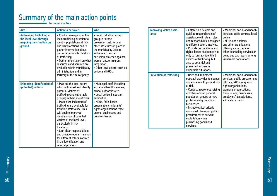## Summary of the main action points

for municipalities

| quick to respond chain of<br>tance<br><b>Addressing trafficking at</b><br>• Conduct a mapping of the<br>• Local trafficking expert<br>assistance with clear roles<br>local trafficking situation to<br>the local level through<br>group; or crime<br>and responsibilities assigned<br>prevention task force or<br>mapping the situation on<br>identify populations at risk<br>to different actors involved.<br>and risky locations and to<br>other structures in place at<br>ground<br>• Provide unconditional and<br>gather information about<br>the municipality level to<br>rights-based assistance not<br>perpetrators and facilitators<br>address e.g. social<br>only to formally identified<br>exclusion, violence against<br>of trafficking.<br>victims of trafficking, but                                                                                                                                                                                                                                                                                                                                                                                                                                                                                                                                  | services, crisis centres, local<br>police.<br>• NGOs and shelters,<br>any other organisations<br>offering social, legal or<br>other counseling services or<br>doing outreach work among<br>vulnerable populations.             |
|---------------------------------------------------------------------------------------------------------------------------------------------------------------------------------------------------------------------------------------------------------------------------------------------------------------------------------------------------------------------------------------------------------------------------------------------------------------------------------------------------------------------------------------------------------------------------------------------------------------------------------------------------------------------------------------------------------------------------------------------------------------------------------------------------------------------------------------------------------------------------------------------------------------------------------------------------------------------------------------------------------------------------------------------------------------------------------------------------------------------------------------------------------------------------------------------------------------------------------------------------------------------------------------------------------------------|--------------------------------------------------------------------------------------------------------------------------------------------------------------------------------------------------------------------------------|
| • Gather information on what<br>women and/or migrant<br>also to potential and<br>resources and services are<br>integration.<br>presumed victims in<br>• Other local actors, such as<br>available within municipality<br>vulnerable situations.<br>administration and in<br>police and NGOs.                                                                                                                                                                                                                                                                                                                                                                                                                                                                                                                                                                                                                                                                                                                                                                                                                                                                                                                                                                                                                         |                                                                                                                                                                                                                                |
| <b>Prevention of trafficking</b><br>• Offer and implement<br>territory of the municipality.<br>outreach activities to support<br>and engage with populations<br>• Municipal staff, including<br><b>Enhancing identification of</b><br>• Map out the local actors<br>at risk.<br>who might meet and identify<br>social and health services.<br>(potential) victims<br>• Conduct awareness raising<br>potential victims of<br>school authorities etc.<br>activities among general<br>trafficking (and vulnerable<br>• Local police, inspection<br>population, groups at risk,<br>groups) in their line of work.<br>authorities.<br>professional groups and<br>• Make sure indicators of<br>• NGOs, faith-based<br>businesses.<br>trafficking are available for<br>organisations, migrants'<br>· Include ethical criteria<br>frontline staff to use. This<br>rights organisations trade<br>and social clauses in public<br>will enable improved<br>unions, businesses and<br>procurement to prevent<br>identification of potential<br>private citizens.<br>exploitation when<br>victims at the local level,<br>purchasing goods and<br>particularly in risk<br>services.<br>locations.<br>· Sign clear responsibilities<br>and provide regular trainings<br>for different actors involved<br>in the identification and | • Municipal social and health<br>services, public procurement<br>officials, NGOs, migrants'<br>rights organisations,<br>women's organisations,<br>trade unions, businesses,<br>employers' associations,<br>• Private citizens. |

Summary<br>Summary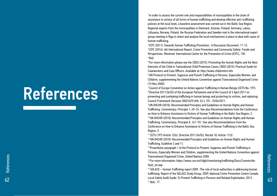# References

<sup>1</sup> In order to assess the current role and responsibilities of municipalities in the chain of assistance to victims of all forms of human trafficking and develop effective anti–trafficking policies at the local level, a baseline assessment was carried out in the Baltic Sea Region. Regional experts from the municipalities in Denmark, Estonia, Finland, Germany, Latvia, Lithuania, Norway, Poland, the Russian Federation and Sweden met in the international expert group meeting in Riga to share and analyse the local mechanisms in place to deal with cases of human trafficking.

<sup>2</sup>ICPC (2011): Towards Human Trafficking Prevention: A Discussion Document, 11-12. <sup>3</sup>ICPC (2014): 4th International Report. Crime Prevention and Community Safety: Trends and Perspectives. Montreal: International Centre for the Prevention of Crime (ICPC), 130. 4 Ibid.

<sup>5</sup> For more information please see the CBSS (2015): Promoting the Human Rights and the Best Interests of the Child in Transnational Child Protection Cases; CBSS (2015): Practical Guide for Caseworkers and Case Officers. Available at: http://www.childcentre.info

6 UN Protocol to Prevent, Suppress and Punish Trafficking in Persons, Especially Women, and Children, supplementing the United Nations Convention against Transnational Organised Crime (15 Nov 2000).

7 Council of Europe Convention on Action against Trafficking in Human Beings (CETS No. 197). <sup>8</sup>Directive 2011/36/EU of the European Parliament and of the Council of 5 April 2011 on preventing and combating trafficking in human beings and protecting its victims, and replacing Council Framework Decision 2002/629/JHA. OJ L 101, 15/04/2011.

<sup>9</sup>UN OHCHR (2010): Recommended Principles and Guidelines on Human Rights and Human Trafficking. Commentary, Principle 1, 49–74. See also Recommendations from the Conference on How to Enhance Assistance to Victims of Human Trafficking in the Baltic Sea Region, 2. 10 UN OHCHR (2010): Recommended Principles and Guidelines on Human Rights and Human Trafficking. Commentary, Principle 8, 141-151. See also Recommendations from the Conference on How to Enhance Assistance to Victims of Human Trafficking in the Baltic Sea Region, 2.

<sup>11</sup>CETS (197) Article 12(6), Directive 2011/36/EU, Recital 18, Article 11(3)

<sup>12</sup> UN OHCHR (2010): Recommended Principles and Guidelines on Human Rights and Human Trafficking, Guideline 2 and 11.

<sup>13</sup> Preambular paragraph 1 of the Protocol to Prevent, Suppress and Punish Trafficking in Persons, Especially Women and Children, supplementing the United Nations Convention against Transnational Organised Crime, United Nations 2000.

<sup>14</sup> For more information: https://www.coe.int/t/dghl/monitoring/trafficking/Docs/Convntn/default\_en.asp

<sup>15</sup> SOLACE – Human Trafficking report 2009 - The role of local authorities in addressing human trafficking. Report of the SOLACE Study Group, 2009; National Crime Prevention Centre Canada, Local Safety Audit Guide: To Prevent Trafficking in Persons and Related Exploitation, 2013. 16 Ibid., 17.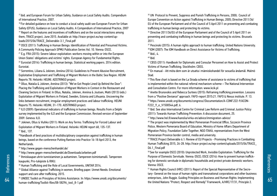<sup>17</sup>ibid. and European Forum for Urban Safety, Guidance on Local Safety Audits. Compendium of International Practice, 2007.

<sup>18</sup> For detailed guidance on how to conduct a local safety audit see European Forum for Urban Safety (EFUS), Guidance on Local Safety Audits. A Compendium of International Practice, 2007 <sup>19</sup> Report on the features and incentives of traffickers and on the social interactions among them, TRACE project, June 2015. Available at: http://trace-project.eu/wp-content/uploads/2015/06/TRACE\_Deliverable-3.1\_Final.pdf

<sup>20</sup> OSCE (2011): Trafficking in Human Beings: Identification of Potential and Presumed Victims. A Community Policing Approach SPMU Publication Series Vol. 10. Vienna: OSCE.

<sup>21</sup> E.g. FRA (2015): Severe labour exploitation: workers moving within or into the European Union States' obligations and victims' rights. European Agency for Fundamental Rights. <sup>22</sup> Eurostat (2014): Trafficking in human beings. Statistical working papers. 2014 edition. Eurostat.

<sup>23</sup> Sorrentino, Liliana & Jokinen, Anniina (2014): Guidelines to Prevent Abusive Recruitment, Exploitative Employment and Trafficking of Migrant Workers in the Baltic Sea Region. HEUNI Reports 78. Helsinki: HEUNI. ADSTRINGO project.

<sup>24</sup> Ollus, Natalia & Jokinen, Anniina (2013): "We've Got People Lined Up Behind the Door": Placing the Trafficking and Exploitation of Migrant Workers in Context in the Restaurant and Cleaning Sectors in Finland. In Ollus, Natalia, Jokinen, Anniina & Joutsen, Matti (2013) (eds.) Exploitation of Migrant Workers in Finland, Sweden, Estonia and Lithuania. Uncovering the links between recruitment, irregular employment practices and labour trafficking. HEUNI Reports 75. Helsinki: HEUNI, 31−170. ADSTRINGO project.

<sup>25</sup> ILO (2009): Operational indicators of trafficking in human beings. Results from a Delphi survey implemented by the ILO and the European Commission. Revised version of September 2009. Geneva: ILO.

26 Jokinen, Ollus & Viuhko (2011): Work on Any Terms: Trafficking for Forced Labour and Exploitation of Migrant Workers in Finland. Helsinki: HEUNI report 68, 135-137. 27 Ibid., 137.

<sup>28</sup>Handbook of best practices of multidisciplinary cooperation against trafficking in human beings, based on the conference Putting Rantsev into Practice 16-18 April 2013, the **Netherlands** 

<sup>29</sup> http://www.gegen-menschenhandel.de/

30 http://www.gegen-menschenhandel.de/Downloads/arbeiten.pdf

31 Ihmiskaupan uhrin tunnistaminen ja auttaminen. Tampereen toimintamalli. Tampereen kaupunki, Pro-tukipiste & RIKU.

- <sup>32</sup> Human Trafficking and the Role of Local Governments, UNITAR 2014.
- <sup>33</sup> Global Alliance against Trafficking in women, Briefing paper. Unmet Needs: Emotional support and care after trafficking. 2015.

<sup>34</sup> UNODC Toolkit on Principles of Victims Assistance. In: https://www.unodc.org/documents/ human-trafficking/Toolkit-files/08-58296\_tool\_8-1.pdf

<sup>35</sup> UN Protocol to Prevent, Suppress and Punish Trafficking in Persons, 2000; Council of Europe Convention on Action against Trafficking in Human Beings, 2005; Directive 2011/36/ EU of the European Parliament and of the Council of 5 April 2011 on preventing and combating trafficking in human beings and protecting its victims.

<sup>36</sup> Directive 2011/36/EU of the European Parliament and of the Council of 5 April 2011 on preventing and combating trafficking in human beings and protecting its victims. Brussels 2011.

<sup>37</sup> Pescinski (2015): A human rights approach to human trafficking. United Nations University. <sup>38</sup>IOM (2007): The IOM Handbook on Direct Assistance for Victims of Trafficking.

 $39$  Ibid.,  $4.1$ 

 $40$  Ibid.

<sup>41</sup> CBSS (2011): Handbook for Diplomatic and Consular Personnel on How to Assist and Protect Victims of Human Trafficking. Stockholm: CBSS.

<sup>42</sup> En manual - Att möta dem som är utsatta i människohandel för sexuella ändamål. Malmö Stad.

<sup>43</sup>This flow chart is based on the La Strada scheme of assistance to victims of trafficking that is implemented within the national referral mechanism scheme – The National Intervention and Consultation Centre. For more information: www.kcik.pl

<sup>44</sup> Anette Brunovskis and Rebecca Surtees (2015): Reframing trafficking prevention. Lessons from a "Positive Deviance" approach. FAFO-report 2015:21. FAFO & Nexus institute. P. 13. 45 https://www.unodc.org/documents/congress//Documentation/A-CONF.222-9/ACON-F222\_9\_e\_V1500544.pdf, 6.

<sup>46</sup> Ibid. See also International Centre for Criminal Law Reform and Criminal Justice Policy (2011): Towards Human Trafficking Prevention: A discussion document, 25.

47 http://www.hel.fi/www/kanslia/virka-en/advice/immigration-advice/

<sup>48</sup> The project was implemented by West Pomeranian Provincial Office, Szczecin Province Police, Western Pomerania Board of Education, Ministry of Home Affairs Department of Migration Policy, Foundation Safer Together, NGO ITAKA, representatives from the West Pomeranian Province border control, media and university.

<sup>49</sup>TRACE Project Deliverable 6.1: Review of EU Projects - Promising Practices in Combatting Human Trafficking 2015, 26-28. http://trace-project.eu/wp-content/uploads/2015/04/TRACE\_ D6.1 Final.pdf

50 See for example OSCE (2010): Unprotected Work, Invisible Exploitation: Trafficking for the Purpose of Domestic Servitude. Vienna: OSCE; OSCE (2014): How to prevent human trafficking for domestic servitude in diplomatic households and protect private domestic workers. Vienna: OSCE.

51 Human Rights Council (HRC) (2011): Report of the Special Representative of the Secretary- General on the issue of human rights and transnational corporations and other business enterprises, John Ruggie. Guiding Principles on Business and Human Rights: Implementing the United Nations "Protect, Respect and Remedy" Framework, A/HRC/17/31, Principle 2.

**E** References  $64$ 

References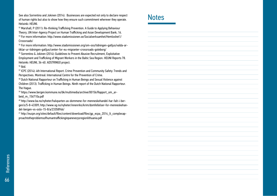See also Sorrentino and Jokinen (2014). Businesses are expected not only to declare respect of human rights but also to show how they ensure such commitment wherever they operate. Helsinki: HEUNI.

<sup>52</sup> Marshall, P (2011): Re-thinking Trafficking Prevention. A Guide to Applying Behaviour Theory, UN Inter-Agency Project on Human Trafficking and Asian Development Bank, 16. <sup>53</sup> For more information: http://www.stadsmissionen.se/Socialverksamhet/Hemloshet1/ Crossroads/

54 For more information: http://www.stadsmissionen.org/om-oss/tidningen-gatljus/valda-artiklar-ur-tidningen-gatljus/center-for-eu-migranter-crossroads-goteborg/

<sup>55</sup> Sorrentino & Jokinen (2014): Guidelines to Prevent Abusive Recruitment, Exploitative Employment and Trafficking of Migrant Workers in the Baltic Sea Region. HEUNI Reports 78. Helsinki: HEUNI, 36-40. ADSTRINGO project.

## <sup>56</sup> Ibid.

57 ICPC (2014): 4th International Report. Crime Prevention and Community Safety: Trends and Perspectives. Montreal: International Centre for the Prevention of Crime.

<sup>58</sup> Dutch National Rapporteur on Trafficking in Human Beings and Sexual Violence against Children (2013). Trafficking in Human Beings. Ninth report of the Dutch National Rapporteur. The Hague.

59 https://www.bergen.kommune.no/bk/multimedia/archive/00156/Rapport\_om\_arbeid\_m\_156710a.pdf

60 http://www.ba.no/nyheter/halvparten-av-dommene-for-menneskehandel-har-falt-i-bergen/s/5-8-43309; http://www.vg.no/nyheter/innenriks/krim/domfellelser-for-menneskehandel-bergen-vs-oslo-15-8/a/23358966/

61 http://eucpn.org/sites/default/files/content/download/files/gp\_ecpa\_2014\_lt\_complexapproachtotheproblemsofhumantraffickinginpanevezysregionlithuania.pdf

## **Notes**